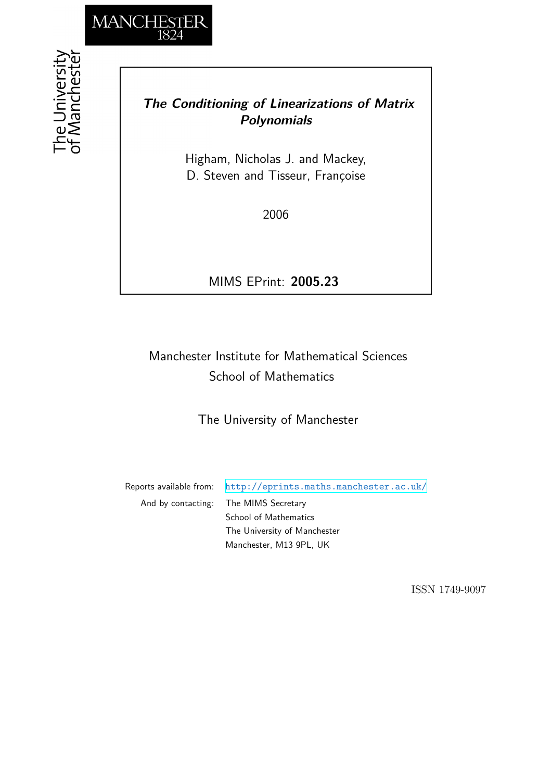

# *The Conditioning of Linearizations of Matrix Polynomials*

Higham, Nicholas J. and Mackey, D. Steven and Tisseur, Françoise

2006

MIMS EPrint: **2005.23**

# Manchester Institute for Mathematical Sciences School of Mathematics

The University of Manchester

Reports available from: <http://eprints.maths.manchester.ac.uk/> And by contacting: The MIMS Secretary School of Mathematics The University of Manchester

Manchester, M13 9PL, UK

ISSN 1749-9097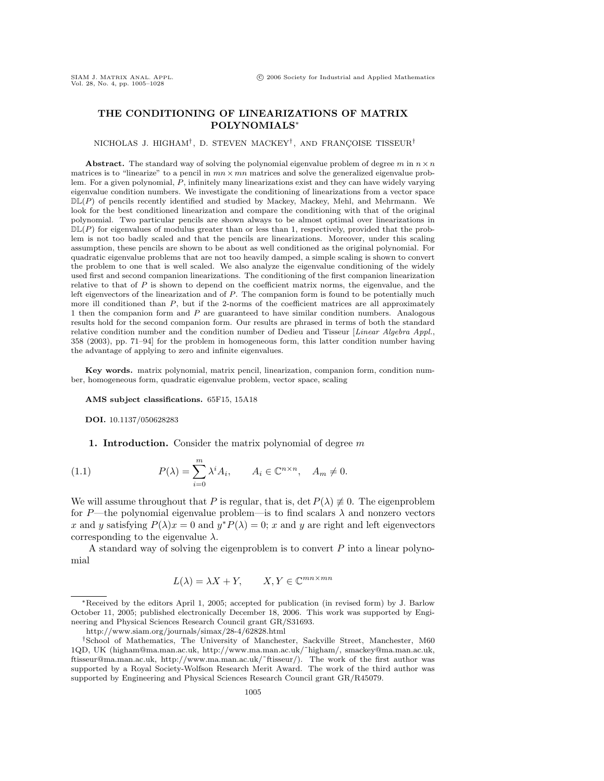## **THE CONDITIONING OF LINEARIZATIONS OF MATRIX POLYNOMIALS**∗

#### NICHOLAS J. HIGHAM<sup>†</sup>, D. STEVEN MACKEY<sup>†</sup>, AND FRANÇOISE TISSEUR<sup>†</sup>

**Abstract.** The standard way of solving the polynomial eigenvalue problem of degree m in  $n \times n$ matrices is to "linearize" to a pencil in  $mn \times mn$  matrices and solve the generalized eigenvalue problem. For a given polynomial, P, infinitely many linearizations exist and they can have widely varying eigenvalue condition numbers. We investigate the conditioning of linearizations from a vector space  $\mathbb{DL}(P)$  of pencils recently identified and studied by Mackey, Mackey, Mehl, and Mehrmann. We look for the best conditioned linearization and compare the conditioning with that of the original polynomial. Two particular pencils are shown always to be almost optimal over linearizations in  $D\mathbb{L}(P)$  for eigenvalues of modulus greater than or less than 1, respectively, provided that the problem is not too badly scaled and that the pencils are linearizations. Moreover, under this scaling assumption, these pencils are shown to be about as well conditioned as the original polynomial. For quadratic eigenvalue problems that are not too heavily damped, a simple scaling is shown to convert the problem to one that is well scaled. We also analyze the eigenvalue conditioning of the widely used first and second companion linearizations. The conditioning of the first companion linearization relative to that of  $P$  is shown to depend on the coefficient matrix norms, the eigenvalue, and the left eigenvectors of the linearization and of  $P$ . The companion form is found to be potentially much more ill conditioned than  $P$ , but if the 2-norms of the coefficient matrices are all approximately 1 then the companion form and P are guaranteed to have similar condition numbers. Analogous results hold for the second companion form. Our results are phrased in terms of both the standard relative condition number and the condition number of Dedieu and Tisseur [Linear Algebra Appl., 358 (2003), pp. 71–94] for the problem in homogeneous form, this latter condition number having the advantage of applying to zero and infinite eigenvalues.

**Key words.** matrix polynomial, matrix pencil, linearization, companion form, condition number, homogeneous form, quadratic eigenvalue problem, vector space, scaling

**AMS subject classifications.** 65F15, 15A18

**DOI.** 10.1137/050628283

**1. Introduction.** Consider the matrix polynomial of degree m

(1.1) 
$$
P(\lambda) = \sum_{i=0}^{m} \lambda^{i} A_{i}, \qquad A_{i} \in \mathbb{C}^{n \times n}, \quad A_{m} \neq 0.
$$

We will assume throughout that P is regular, that is, det  $P(\lambda) \neq 0$ . The eigenproblem for P—the polynomial eigenvalue problem—is to find scalars  $\lambda$  and nonzero vectors x and y satisfying  $P(\lambda)x = 0$  and  $y^*P(\lambda) = 0$ ; x and y are right and left eigenvectors corresponding to the eigenvalue  $\lambda$ .

A standard way of solving the eigenproblem is to convert  $P$  into a linear polynomial

$$
L(\lambda) = \lambda X + Y, \qquad X, Y \in \mathbb{C}^{mn \times mn}
$$

<sup>∗</sup>Received by the editors April 1, 2005; accepted for publication (in revised form) by J. Barlow October 11, 2005; published electronically December 18, 2006. This work was supported by Engineering and Physical Sciences Research Council grant GR/S31693.

http://www.siam.org/journals/simax/28-4/62828.html

<sup>†</sup>School of Mathematics, The University of Manchester, Sackville Street, Manchester, M60 1QD, UK (higham@ma.man.ac.uk, http://www.ma.man.ac.uk/˜higham/, smackey@ma.man.ac.uk, ftisseur@ma.man.ac.uk, http://www.ma.man.ac.uk/˜ftisseur/). The work of the first author was supported by a Royal Society-Wolfson Research Merit Award. The work of the third author was supported by Engineering and Physical Sciences Research Council grant GR/R45079.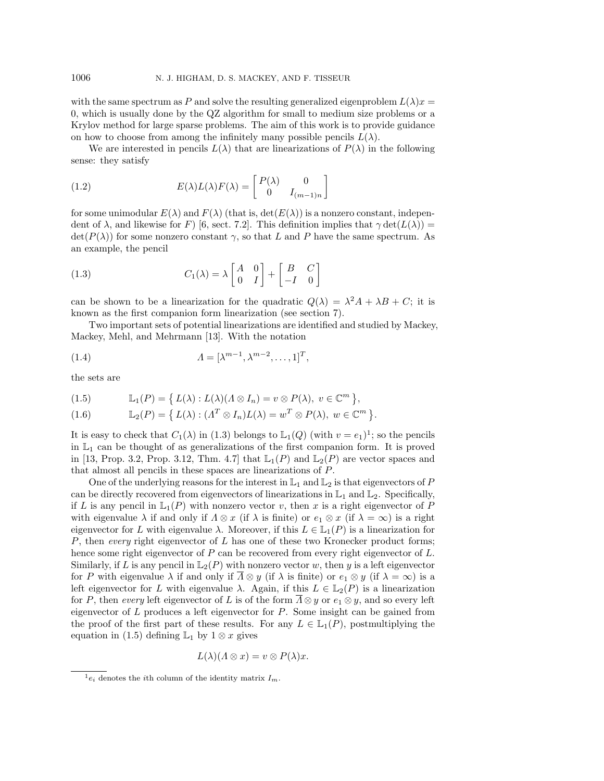with the same spectrum as P and solve the resulting generalized eigenproblem  $L(\lambda)x =$ 0, which is usually done by the QZ algorithm for small to medium size problems or a Krylov method for large sparse problems. The aim of this work is to provide guidance on how to choose from among the infinitely many possible pencils  $L(\lambda)$ .

We are interested in pencils  $L(\lambda)$  that are linearizations of  $P(\lambda)$  in the following sense: they satisfy

(1.2) 
$$
E(\lambda)L(\lambda)F(\lambda) = \begin{bmatrix} P(\lambda) & 0 \\ 0 & I_{(m-1)n} \end{bmatrix}
$$

for some unimodular  $E(\lambda)$  and  $F(\lambda)$  (that is,  $\det(E(\lambda))$ ) is a nonzero constant, independent of  $\lambda$ , and likewise for F) [6, sect. 7.2]. This definition implies that  $\gamma \det(L(\lambda)) =$  $\det(P(\lambda))$  for some nonzero constant  $\gamma$ , so that L and P have the same spectrum. As an example, the pencil

(1.3) 
$$
C_1(\lambda) = \lambda \begin{bmatrix} A & 0 \\ 0 & I \end{bmatrix} + \begin{bmatrix} B & C \\ -I & 0 \end{bmatrix}
$$

can be shown to be a linearization for the quadratic  $Q(\lambda) = \lambda^2 A + \lambda B + C$ ; it is known as the first companion form linearization (see section 7).

Two important sets of potential linearizations are identified and studied by Mackey, Mackey, Mehl, and Mehrmann [13]. With the notation

(1.4) 
$$
\Lambda = [\lambda^{m-1}, \lambda^{m-2}, \dots, 1]^T,
$$

the sets are

(1.5) 
$$
\mathbb{L}_1(P) = \{ L(\lambda) : L(\lambda)(\Lambda \otimes I_n) = v \otimes P(\lambda), v \in \mathbb{C}^m \},
$$

(1.6) 
$$
\mathbb{L}_2(P) = \left\{ L(\lambda) : (A^T \otimes I_n)L(\lambda) = w^T \otimes P(\lambda), w \in \mathbb{C}^m \right\}.
$$

It is easy to check that  $C_1(\lambda)$  in (1.3) belongs to  $\mathbb{L}_1(Q)$  (with  $v = e_1$ )<sup>1</sup>; so the pencils in  $\mathbb{L}_1$  can be thought of as generalizations of the first companion form. It is proved in [13, Prop. 3.2, Prop. 3.12, Thm. 4.7] that  $\mathbb{L}_1(P)$  and  $\mathbb{L}_2(P)$  are vector spaces and that almost all pencils in these spaces are linearizations of P.

One of the underlying reasons for the interest in  $\mathbb{L}_1$  and  $\mathbb{L}_2$  is that eigenvectors of P can be directly recovered from eigenvectors of linearizations in  $\mathbb{L}_1$  and  $\mathbb{L}_2$ . Specifically, if L is any pencil in  $\mathbb{L}_1(P)$  with nonzero vector v, then x is a right eigenvector of P with eigenvalue  $\lambda$  if and only if  $\Lambda \otimes x$  (if  $\lambda$  is finite) or  $e_1 \otimes x$  (if  $\lambda = \infty$ ) is a right eigenvector for L with eigenvalue  $\lambda$ . Moreover, if this  $L \in L_1(P)$  is a linearization for  $P$ , then every right eigenvector of  $L$  has one of these two Kronecker product forms; hence some right eigenvector of  $P$  can be recovered from every right eigenvector of  $L$ . Similarly, if L is any pencil in  $\mathbb{L}_2(P)$  with nonzero vector w, then y is a left eigenvector for P with eigenvalue  $\lambda$  if and only if  $\overline{\Lambda} \otimes y$  (if  $\lambda$  is finite) or  $e_1 \otimes y$  (if  $\lambda = \infty$ ) is a left eigenvector for L with eigenvalue  $\lambda$ . Again, if this  $L \in \mathbb{L}_2(P)$  is a linearization for P, then every left eigenvector of L is of the form  $\overline{\Lambda} \otimes y$  or  $e_1 \otimes y$ , and so every left eigenvector of L produces a left eigenvector for P. Some insight can be gained from the proof of the first part of these results. For any  $L \in \mathbb{L}_{1}(P)$ , postmultiplying the equation in (1.5) defining  $\mathbb{L}_1$  by  $1 \otimes x$  gives

$$
L(\lambda)(\Lambda \otimes x) = v \otimes P(\lambda)x.
$$

 $^{1}e_{i}$  denotes the *i*th column of the identity matrix  $I_{m}$ .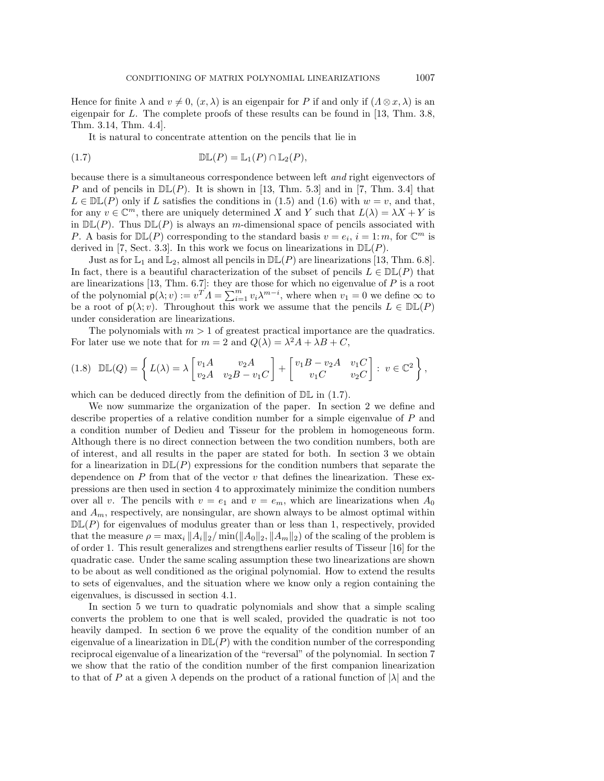Hence for finite  $\lambda$  and  $v \neq 0$ ,  $(x, \lambda)$  is an eigenpair for P if and only if  $(\Lambda \otimes x, \lambda)$  is an eigenpair for L. The complete proofs of these results can be found in [13, Thm. 3.8, Thm. 3.14, Thm. 4.4].

It is natural to concentrate attention on the pencils that lie in

(1.7) 
$$
\mathbb{DL}(P) = \mathbb{L}_1(P) \cap \mathbb{L}_2(P),
$$

because there is a simultaneous correspondence between left and right eigenvectors of P and of pencils in  $D\mathbb{L}(P)$ . It is shown in [13, Thm. 5.3] and in [7, Thm. 3.4] that  $L \in \mathbb{DL}(P)$  only if L satisfies the conditions in (1.5) and (1.6) with  $w = v$ , and that, for any  $v \in \mathbb{C}^m$ , there are uniquely determined X and Y such that  $L(\lambda) = \lambda X + Y$  is in  $D\mathbb{L}(P)$ . Thus  $D\mathbb{L}(P)$  is always an m-dimensional space of pencils associated with P. A basis for  $D\mathbb{L}(P)$  corresponding to the standard basis  $v = e_i$ ,  $i = 1: m$ , for  $\mathbb{C}^m$  is derived in [7, Sect. 3.3]. In this work we focus on linearizations in  $D\mathbb{L}(P)$ .

Just as for  $\mathbb{L}_1$  and  $\mathbb{L}_2$ , almost all pencils in  $\mathbb{DL}(P)$  are linearizations [13, Thm. 6.8]. In fact, there is a beautiful characterization of the subset of pencils  $L \in \mathbb{DL}(P)$  that are linearizations [13, Thm.  $6.7$ ]: they are those for which no eigenvalue of P is a root of the polynomial  $p(\lambda; v) := v^T A = \sum_{i=1}^m v_i \lambda^{m-i}$ , where when  $v_1 = 0$  we define  $\infty$  to be a root of  $p(\lambda; v)$ . Throughout this work we assume that the pencils  $L \in \mathbb{DL}(P)$ under consideration are linearizations.

The polynomials with  $m > 1$  of greatest practical importance are the quadratics. For later use we note that for  $m = 2$  and  $Q(\lambda) = \lambda^2 A + \lambda B + C$ ,

$$
(1.8)\quad \mathbb{DL}(Q) = \left\{ L(\lambda) = \lambda \begin{bmatrix} v_1 A & v_2 A \\ v_2 A & v_2 B - v_1 C \end{bmatrix} + \begin{bmatrix} v_1 B - v_2 A & v_1 C \\ v_1 C & v_2 C \end{bmatrix} : v \in \mathbb{C}^2 \right\},
$$

which can be deduced directly from the definition of  $\mathbb{DL}$  in (1.7).

We now summarize the organization of the paper. In section 2 we define and describe properties of a relative condition number for a simple eigenvalue of P and a condition number of Dedieu and Tisseur for the problem in homogeneous form. Although there is no direct connection between the two condition numbers, both are of interest, and all results in the paper are stated for both. In section 3 we obtain for a linearization in  $D\mathbb{L}(P)$  expressions for the condition numbers that separate the dependence on  $P$  from that of the vector  $v$  that defines the linearization. These expressions are then used in section 4 to approximately minimize the condition numbers over all v. The pencils with  $v = e_1$  and  $v = e_m$ , which are linearizations when  $A_0$ and  $A_m$ , respectively, are nonsingular, are shown always to be almost optimal within  $D\mathbb{L}(P)$  for eigenvalues of modulus greater than or less than 1, respectively, provided that the measure  $\rho = \max_i ||A_i||_2 / \min(||A_0||_2, ||A_m||_2)$  of the scaling of the problem is of order 1. This result generalizes and strengthens earlier results of Tisseur [16] for the quadratic case. Under the same scaling assumption these two linearizations are shown to be about as well conditioned as the original polynomial. How to extend the results to sets of eigenvalues, and the situation where we know only a region containing the eigenvalues, is discussed in section 4.1.

In section 5 we turn to quadratic polynomials and show that a simple scaling converts the problem to one that is well scaled, provided the quadratic is not too heavily damped. In section 6 we prove the equality of the condition number of an eigenvalue of a linearization in  $D\mathbb{L}(P)$  with the condition number of the corresponding reciprocal eigenvalue of a linearization of the "reversal" of the polynomial. In section 7 we show that the ratio of the condition number of the first companion linearization to that of P at a given  $\lambda$  depends on the product of a rational function of  $|\lambda|$  and the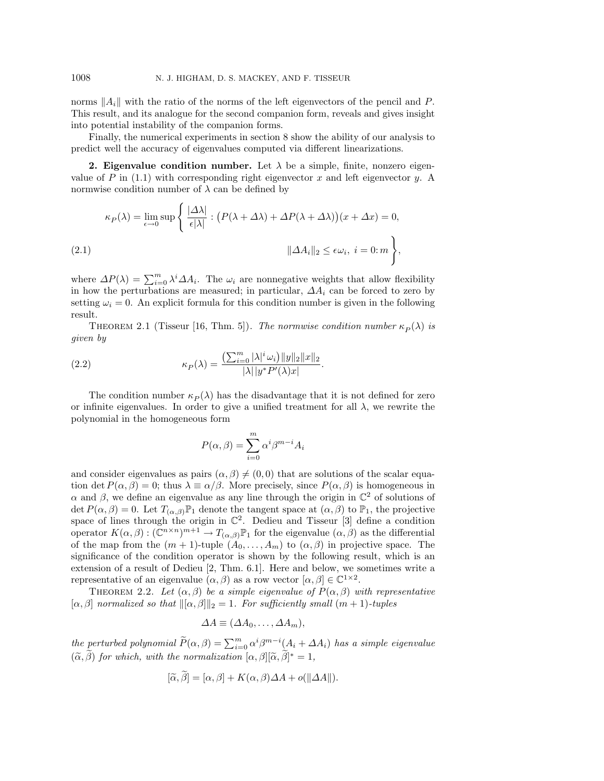norms  $||A_i||$  with the ratio of the norms of the left eigenvectors of the pencil and P. This result, and its analogue for the second companion form, reveals and gives insight into potential instability of the companion forms.

Finally, the numerical experiments in section 8 show the ability of our analysis to predict well the accuracy of eigenvalues computed via different linearizations.

**2. Eigenvalue condition number.** Let  $\lambda$  be a simple, finite, nonzero eigenvalue of P in  $(1.1)$  with corresponding right eigenvector x and left eigenvector y. A normwise condition number of  $\lambda$  can be defined by

$$
\kappa_P(\lambda) = \lim_{\epsilon \to 0} \sup \left\{ \frac{|\Delta \lambda|}{\epsilon |\lambda|} : \left( P(\lambda + \Delta \lambda) + \Delta P(\lambda + \Delta \lambda) \right) (x + \Delta x) = 0, \right\}
$$
  
(2.1)  

$$
\|\Delta A_i\|_2 \le \epsilon \omega_i, \ i = 0; m \right\},
$$

where  $\Delta P(\lambda) = \sum_{i=0}^{m} \lambda^i \Delta A_i$ . The  $\omega_i$  are nonnegative weights that allow flexibility in how the perturbations are measured; in particular,  $\Delta A_i$  can be forced to zero by setting  $\omega_i = 0$ . An explicit formula for this condition number is given in the following result.

THEOREM 2.1 (Tisseur [16, Thm. 5]). The normwise condition number  $\kappa_P(\lambda)$  is given by

(2.2) 
$$
\kappa_P(\lambda) = \frac{\left(\sum_{i=0}^m |\lambda|^i \omega_i\right) ||y||_2 ||x||_2}{|\lambda|| y^* P'(\lambda)x|}.
$$

The condition number  $\kappa_P(\lambda)$  has the disadvantage that it is not defined for zero or infinite eigenvalues. In order to give a unified treatment for all  $\lambda$ , we rewrite the polynomial in the homogeneous form

$$
P(\alpha, \beta) = \sum_{i=0}^{m} \alpha^{i} \beta^{m-i} A_{i}
$$

and consider eigenvalues as pairs  $(\alpha, \beta) \neq (0, 0)$  that are solutions of the scalar equation det  $P(\alpha, \beta) = 0$ ; thus  $\lambda \equiv \alpha/\beta$ . More precisely, since  $P(\alpha, \beta)$  is homogeneous in  $\alpha$  and  $\beta$ , we define an eigenvalue as any line through the origin in  $\mathbb{C}^2$  of solutions of det  $P(\alpha, \beta) = 0$ . Let  $T_{(\alpha, \beta)}\mathbb{P}_1$  denote the tangent space at  $(\alpha, \beta)$  to  $\mathbb{P}_1$ , the projective space of lines through the origin in  $\mathbb{C}^2$ . Dedieu and Tisseur [3] define a condition operator  $K(\alpha, \beta):(\mathbb{C}^{n\times n})^{m+1}\to T_{(\alpha, \beta)}\mathbb{P}_1$  for the eigenvalue  $(\alpha, \beta)$  as the differential of the map from the  $(m + 1)$ -tuple  $(A_0, \ldots, A_m)$  to  $(\alpha, \beta)$  in projective space. The significance of the condition operator is shown by the following result, which is an extension of a result of Dedieu [2, Thm. 6.1]. Here and below, we sometimes write a representative of an eigenvalue  $(\alpha, \beta)$  as a row vector  $[\alpha, \beta] \in \mathbb{C}^{1 \times 2}$ .

THEOREM 2.2. Let  $(\alpha, \beta)$  be a simple eigenvalue of  $P(\alpha, \beta)$  with representative  $[\alpha, \beta]$  normalized so that  $\|[\alpha, \beta]\|_2 = 1$ . For sufficiently small  $(m + 1)$ -tuples

$$
\Delta A \equiv (\Delta A_0, \ldots, \Delta A_m),
$$

the perturbed polynomial  $\widetilde{P}(\alpha, \beta) = \sum_{i=0}^{m} \alpha^{i} \beta^{m-i} (A_i + \Delta A_i)$  has a simple eigenvalue  $(\widetilde{\alpha}, \beta)$  for which, with the normalization  $[\alpha, \beta][\widetilde{\alpha}, \beta]^* = 1$ ,

$$
[\widetilde{\alpha}, \beta] = [\alpha, \beta] + K(\alpha, \beta)\Delta A + o(||\Delta A||).
$$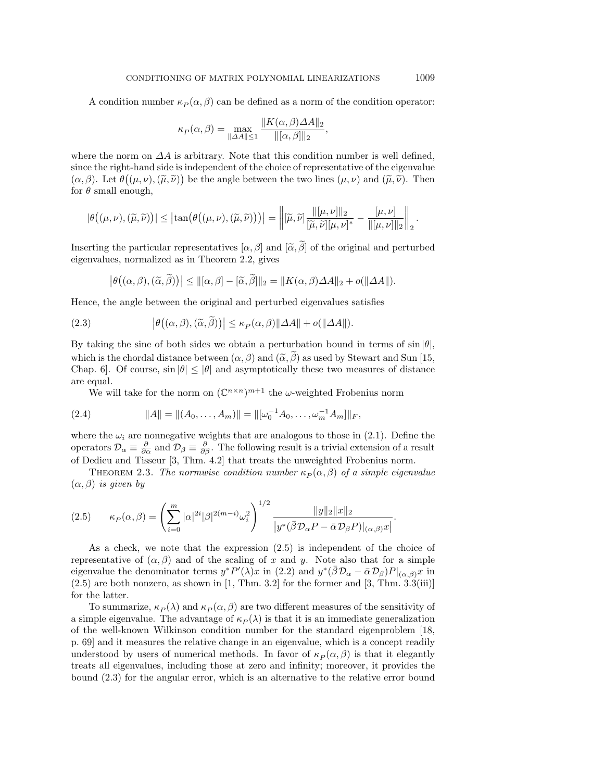A condition number  $\kappa_P(\alpha, \beta)$  can be defined as a norm of the condition operator:

$$
\kappa_P(\alpha, \beta) = \max_{\|\Delta A\| \le 1} \frac{\|K(\alpha, \beta)\Delta A\|_2}{\|[\alpha, \beta]\|_2},
$$

where the norm on  $\Delta A$  is arbitrary. Note that this condition number is well defined, since the right-hand side is independent of the choice of representative of the eigenvalue  $(\alpha, \beta)$ . Let  $\theta((\mu, \nu), (\tilde{\mu}, \tilde{\nu}))$  be the angle between the two lines  $(\mu, \nu)$  and  $(\tilde{\mu}, \tilde{\nu})$ . Then for  $\theta$  small enough,

$$
|\theta((\mu,\nu),(\widetilde{\mu},\widetilde{\nu}))| \leq |\tan(\theta((\mu,\nu),(\widetilde{\mu},\widetilde{\nu})))| = \left\| [\widetilde{\mu},\widetilde{\nu}] \frac{\| [\mu,\nu] \|_2}{[\widetilde{\mu},\widetilde{\nu}][\mu,\nu]^*} - \frac{[\mu,\nu]}{\| [\mu,\nu] \|_2} \right\|_2.
$$

Inserting the particular representatives  $[\alpha, \beta]$  and  $[\tilde{\alpha}, \tilde{\beta}]$  of the original and perturbed eigenvalues, normalized as in Theorem 2.2, gives

$$
\left|\theta((\alpha,\beta),(\widetilde{\alpha},\widetilde{\beta}))\right| \leq ||[\alpha,\beta]-[\widetilde{\alpha},\widetilde{\beta}]||_2 = ||K(\alpha,\beta)\Delta A||_2 + o(||\Delta A||).
$$

Hence, the angle between the original and perturbed eigenvalues satisfies

(2.3) 
$$
\left|\theta((\alpha,\beta),(\widetilde{\alpha},\widetilde{\beta}))\right| \leq \kappa_P(\alpha,\beta)\|\Delta A\| + o(\|\Delta A\|).
$$

By taking the sine of both sides we obtain a perturbation bound in terms of  $\sin |\theta|$ , which is the chordal distance between  $(\alpha, \beta)$  and  $(\tilde{\alpha}, \tilde{\beta})$  as used by Stewart and Sun [15, Chap. 6]. Of course,  $\sin |\theta| \le |\theta|$  and asymptotically these two measures of distance are equal.

We will take for the norm on  $(\mathbb{C}^{n \times n})^{m+1}$  the  $\omega$ -weighted Frobenius norm

(2.4) 
$$
||A|| = ||(A_0, \dots, A_m)|| = ||[\omega_0^{-1} A_0, \dots, \omega_m^{-1} A_m]||_F,
$$

where the  $\omega_i$  are nonnegative weights that are analogous to those in (2.1). Define the operators  $\mathcal{D}_{\alpha} \equiv \frac{\partial}{\partial \alpha}$  and  $\mathcal{D}_{\beta} \equiv \frac{\partial}{\partial \beta}$ . The following result is a trivial extension of a result of Dedieu and Tisseur [3, Thm. 4.2] that treats the unweighted Frobenius norm.

THEOREM 2.3. The normwise condition number  $\kappa_P(\alpha, \beta)$  of a simple eigenvalue  $(\alpha, \beta)$  is given by

$$
(2.5) \qquad \kappa_P(\alpha,\beta) = \left(\sum_{i=0}^m |\alpha|^{2i} |\beta|^{2(m-i)} \omega_i^2\right)^{1/2} \frac{\|y\|_2 \|x\|_2}{|y^*(\bar{\beta} \mathcal{D}_\alpha P - \bar{\alpha} \mathcal{D}_\beta P)|_{(\alpha,\beta)} x|}.
$$

As a check, we note that the expression (2.5) is independent of the choice of representative of  $(\alpha, \beta)$  and of the scaling of x and y. Note also that for a simple eigenvalue the denominator terms  $y^*P'(\lambda)x$  in (2.2) and  $y^*(\bar{\beta}\mathcal{D}_{\alpha}-\bar{\alpha}\mathcal{D}_{\beta})P|_{(\alpha,\beta)}x$  in  $(2.5)$  are both nonzero, as shown in [1, Thm. 3.2] for the former and [3, Thm. 3.3(iii)] for the latter.

To summarize,  $\kappa_P(\lambda)$  and  $\kappa_P(\alpha, \beta)$  are two different measures of the sensitivity of a simple eigenvalue. The advantage of  $\kappa_P(\lambda)$  is that it is an immediate generalization of the well-known Wilkinson condition number for the standard eigenproblem [18, p. 69] and it measures the relative change in an eigenvalue, which is a concept readily understood by users of numerical methods. In favor of  $\kappa_P(\alpha, \beta)$  is that it elegantly treats all eigenvalues, including those at zero and infinity; moreover, it provides the bound (2.3) for the angular error, which is an alternative to the relative error bound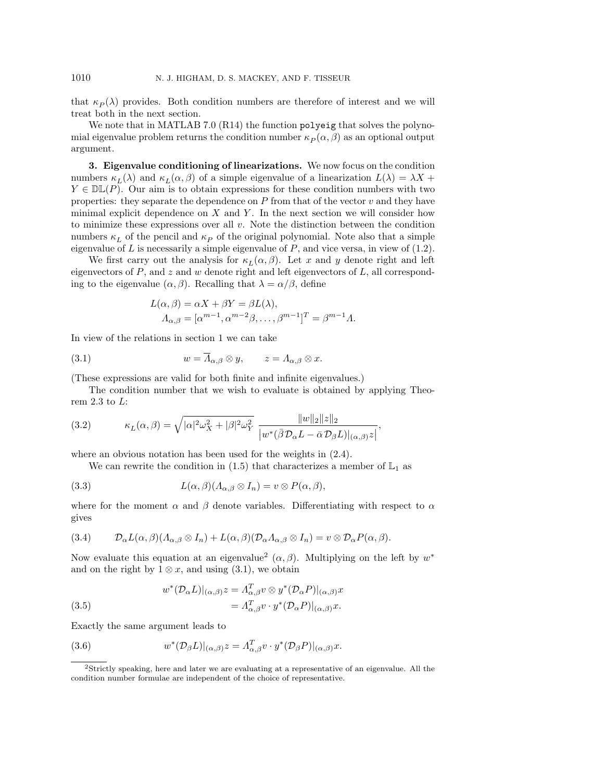that  $\kappa_P(\lambda)$  provides. Both condition numbers are therefore of interest and we will treat both in the next section.

We note that in MATLAB 7.0 (R14) the function polyeig that solves the polynomial eigenvalue problem returns the condition number  $\kappa_P(\alpha, \beta)$  as an optional output argument.

**3. Eigenvalue conditioning of linearizations.** We now focus on the condition numbers  $\kappa_L(\lambda)$  and  $\kappa_L(\alpha, \beta)$  of a simple eigenvalue of a linearization  $L(\lambda) = \lambda X +$  $Y \in \mathbb{DL}(P)$ . Our aim is to obtain expressions for these condition numbers with two properties: they separate the dependence on  $P$  from that of the vector  $v$  and they have minimal explicit dependence on  $X$  and  $Y$ . In the next section we will consider how to minimize these expressions over all  $v$ . Note the distinction between the condition numbers  $\kappa_L$  of the pencil and  $\kappa_P$  of the original polynomial. Note also that a simple eigenvalue of  $L$  is necessarily a simple eigenvalue of  $P$ , and vice versa, in view of  $(1.2)$ .

We first carry out the analysis for  $\kappa_L(\alpha, \beta)$ . Let x and y denote right and left eigenvectors of  $P$ , and  $z$  and  $w$  denote right and left eigenvectors of  $L$ , all corresponding to the eigenvalue  $(\alpha, \beta)$ . Recalling that  $\lambda = \alpha/\beta$ , define

$$
L(\alpha, \beta) = \alpha X + \beta Y = \beta L(\lambda),
$$
  
\n
$$
\Lambda_{\alpha, \beta} = [\alpha^{m-1}, \alpha^{m-2}\beta, \dots, \beta^{m-1}]^T = \beta^{m-1}\Lambda.
$$

In view of the relations in section 1 we can take

(3.1) 
$$
w = \overline{\Lambda}_{\alpha,\beta} \otimes y, \qquad z = \Lambda_{\alpha,\beta} \otimes x.
$$

(These expressions are valid for both finite and infinite eigenvalues.)

The condition number that we wish to evaluate is obtained by applying Theorem 2.3 to  $L$ :

(3.2) 
$$
\kappa_L(\alpha,\beta) = \sqrt{|\alpha|^2 \omega_X^2 + |\beta|^2 \omega_Y^2} \frac{\|w\|_2 \|z\|_2}{|w^*(\bar{\beta} \mathcal{D}_{\alpha} L - \bar{\alpha} \mathcal{D}_{\beta} L)|_{(\alpha,\beta)} z|},
$$

where an obvious notation has been used for the weights in (2.4).

We can rewrite the condition in (1.5) that characterizes a member of  $\mathbb{L}_1$  as

(3.3) 
$$
L(\alpha, \beta)(\Lambda_{\alpha, \beta} \otimes I_n) = v \otimes P(\alpha, \beta),
$$

where for the moment  $\alpha$  and  $\beta$  denote variables. Differentiating with respect to  $\alpha$ gives

(3.4) 
$$
\mathcal{D}_{\alpha}L(\alpha,\beta)(\Lambda_{\alpha,\beta}\otimes I_n)+L(\alpha,\beta)(\mathcal{D}_{\alpha}\Lambda_{\alpha,\beta}\otimes I_n)=v\otimes \mathcal{D}_{\alpha}P(\alpha,\beta).
$$

Now evaluate this equation at an eigenvalue<sup>2</sup> ( $\alpha$ ,  $\beta$ ). Multiplying on the left by w<sup>\*</sup> and on the right by  $1 \otimes x$ , and using (3.1), we obtain

(3.5) 
$$
w^*(\mathcal{D}_{\alpha}L)|_{(\alpha,\beta)}z = \Lambda_{\alpha,\beta}^T v \otimes y^*(\mathcal{D}_{\alpha}P)|_{(\alpha,\beta)}x = \Lambda_{\alpha,\beta}^T v \cdot y^*(\mathcal{D}_{\alpha}P)|_{(\alpha,\beta)}x.
$$

Exactly the same argument leads to

(3.6) 
$$
w^*(\mathcal{D}_{\beta}L)|_{(\alpha,\beta)}z = \Lambda_{\alpha,\beta}^T v \cdot y^*(\mathcal{D}_{\beta}P)|_{(\alpha,\beta)}x.
$$

<sup>2</sup>Strictly speaking, here and later we are evaluating at a representative of an eigenvalue. All the condition number formulae are independent of the choice of representative.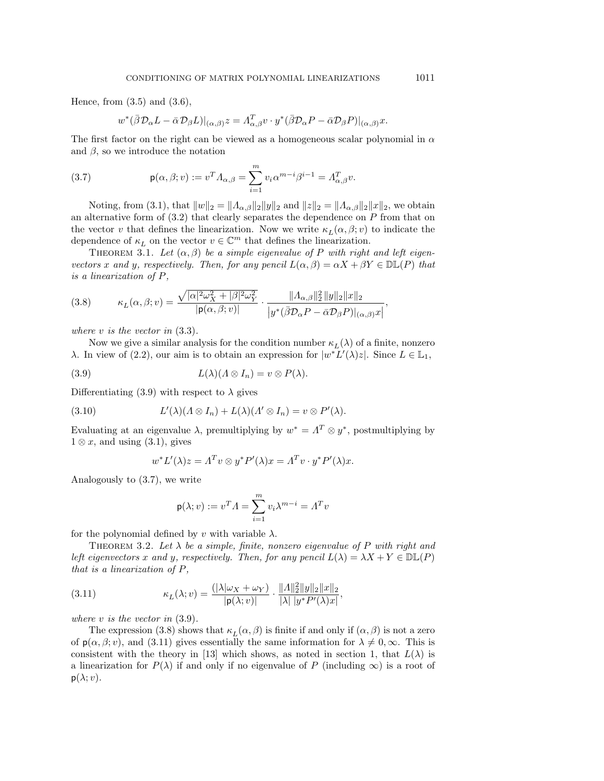Hence, from  $(3.5)$  and  $(3.6)$ ,

$$
w^*(\bar{\beta}\mathcal{D}_{\alpha}L-\bar{\alpha}\mathcal{D}_{\beta}L)|_{(\alpha,\beta)}z=A^T_{\alpha,\beta}v\cdot y^*(\bar{\beta}\mathcal{D}_{\alpha}P-\bar{\alpha}\mathcal{D}_{\beta}P)|_{(\alpha,\beta)}x.
$$

The first factor on the right can be viewed as a homogeneous scalar polynomial in  $\alpha$ and  $\beta$ , so we introduce the notation

(3.7) 
$$
\mathsf{p}(\alpha,\beta;v) := v^T \Lambda_{\alpha,\beta} = \sum_{i=1}^m v_i \alpha^{m-i} \beta^{i-1} = \Lambda_{\alpha,\beta}^T v.
$$

Noting, from (3.1), that  $||w||_2 = ||A_{\alpha,\beta}||_2 ||y||_2$  and  $||z||_2 = ||A_{\alpha,\beta}||_2 ||x||_2$ , we obtain an alternative form of  $(3.2)$  that clearly separates the dependence on P from that on the vector v that defines the linearization. Now we write  $\kappa_L(\alpha, \beta; v)$  to indicate the dependence of  $\kappa_L$  on the vector  $v \in \mathbb{C}^m$  that defines the linearization.

THEOREM 3.1. Let  $(\alpha, \beta)$  be a simple eigenvalue of P with right and left eigenvectors x and y, respectively. Then, for any pencil  $L(\alpha, \beta) = \alpha X + \beta Y \in \mathbb{DL}(P)$  that is a linearization of P,

(3.8) 
$$
\kappa_L(\alpha,\beta;v) = \frac{\sqrt{|\alpha|^2 \omega_X^2 + |\beta|^2 \omega_Y^2}}{|\mathbf{p}(\alpha,\beta;v)|} \cdot \frac{\|A_{\alpha,\beta}\|_2^2 \|y\|_2 \|x\|_2}{|y^*(\bar{\beta} \mathcal{D}_{\alpha} P - \bar{\alpha} \mathcal{D}_{\beta} P)|_{(\alpha,\beta)} x|},
$$

where  $v$  is the vector in  $(3.3)$ .

Now we give a similar analysis for the condition number  $\kappa_L(\lambda)$  of a finite, nonzero λ. In view of (2.2), our aim is to obtain an expression for  $|w^*L'(\lambda)z|$ . Since  $L \in \mathbb{L}_1$ ,

(3.9) 
$$
L(\lambda)(\Lambda \otimes I_n) = v \otimes P(\lambda).
$$

Differentiating (3.9) with respect to  $\lambda$  gives

(3.10) 
$$
L'(\lambda)(\Lambda \otimes I_n) + L(\lambda)(\Lambda' \otimes I_n) = v \otimes P'(\lambda).
$$

Evaluating at an eigenvalue  $\lambda$ , premultiplying by  $w^* = \Lambda^T \otimes y^*$ , postmultiplying by  $1 \otimes x$ , and using  $(3.1)$ , gives

$$
w^* L'(\lambda) z = \Lambda^T v \otimes y^* P'(\lambda) x = \Lambda^T v \cdot y^* P'(\lambda) x.
$$

Analogously to (3.7), we write

$$
\mathsf{p}(\lambda;v):=v^T\varLambda=\sum_{i=1}^m v_i\lambda^{m-i}=\varLambda^Tv
$$

for the polynomial defined by v with variable  $\lambda$ .

THEOREM 3.2. Let  $\lambda$  be a simple, finite, nonzero eigenvalue of P with right and left eigenvectors x and y, respectively. Then, for any pencil  $L(\lambda) = \lambda X + Y \in \mathbb{DL}(P)$ that is a linearization of P,

(3.11) 
$$
\kappa_L(\lambda; v) = \frac{(|\lambda|\omega_X + \omega_Y)}{|\mathbf{p}(\lambda; v)|} \cdot \frac{\|A\|_2^2 \|y\|_2 \|x\|_2}{|\lambda| |y^* P'(\lambda) x|},
$$

where  $v$  is the vector in  $(3.9)$ .

The expression (3.8) shows that  $\kappa_L(\alpha, \beta)$  is finite if and only if  $(\alpha, \beta)$  is not a zero of  $p(\alpha, \beta, v)$ , and (3.11) gives essentially the same information for  $\lambda \neq 0, \infty$ . This is consistent with the theory in [13] which shows, as noted in section 1, that  $L(\lambda)$  is a linearization for  $P(\lambda)$  if and only if no eigenvalue of P (including  $\infty$ ) is a root of  $p(\lambda; v)$ .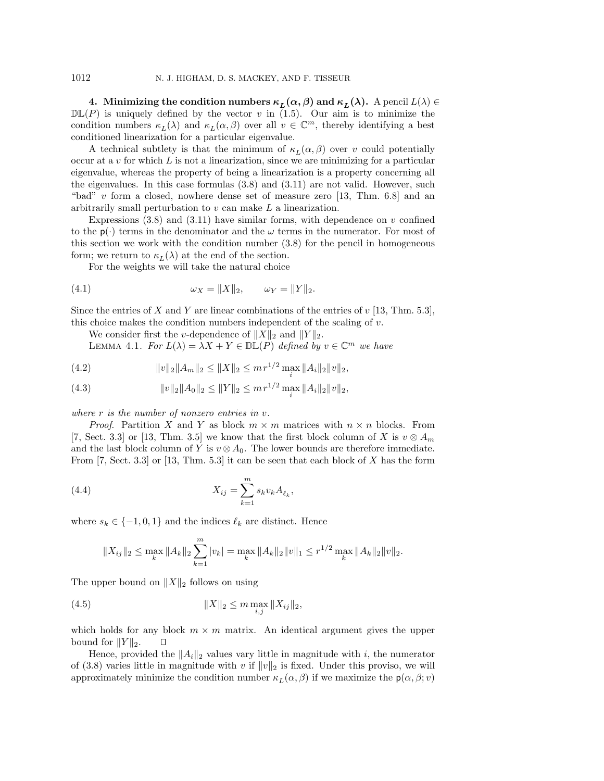**4.** Minimizing the condition numbers  $\kappa_L(\alpha, \beta)$  and  $\kappa_L(\lambda)$ . A pencil  $L(\lambda) \in$  $\mathbb{DL}(P)$  is uniquely defined by the vector v in (1.5). Our aim is to minimize the condition numbers  $\kappa_L(\lambda)$  and  $\kappa_L(\alpha, \beta)$  over all  $v \in \mathbb{C}^m$ , thereby identifying a best conditioned linearization for a particular eigenvalue.

A technical subtlety is that the minimum of  $\kappa_L(\alpha, \beta)$  over v could potentially occur at a v for which  $L$  is not a linearization, since we are minimizing for a particular eigenvalue, whereas the property of being a linearization is a property concerning all the eigenvalues. In this case formulas (3.8) and (3.11) are not valid. However, such "bad"  $v$  form a closed, nowhere dense set of measure zero [13, Thm. 6.8] and an arbitrarily small perturbation to v can make L a linearization.

Expressions  $(3.8)$  and  $(3.11)$  have similar forms, with dependence on v confined to the  $p(\cdot)$  terms in the denominator and the  $\omega$  terms in the numerator. For most of this section we work with the condition number (3.8) for the pencil in homogeneous form; we return to  $\kappa_L(\lambda)$  at the end of the section.

For the weights we will take the natural choice

(4.1) 
$$
\omega_X = ||X||_2, \qquad \omega_Y = ||Y||_2.
$$

Since the entries of X and Y are linear combinations of the entries of  $v$  [13, Thm. 5.3], this choice makes the condition numbers independent of the scaling of  $v$ .

We consider first the *v*-dependence of  $||X||_2$  and  $||Y||_2$ .

LEMMA 4.1. For  $L(\lambda) = \lambda X + Y \in \mathbb{DL}(P)$  defined by  $v \in \mathbb{C}^m$  we have

(4.2) 
$$
||v||_2||A_m||_2 \le ||X||_2 \le m r^{1/2} \max_i ||A_i||_2 ||v||_2,
$$

(4.3) 
$$
||v||_2||A_0||_2 \le ||Y||_2 \le m r^{1/2} \max_i ||A_i||_2 ||v||_2,
$$

where r is the number of nonzero entries in v.

*Proof.* Partition X and Y as block  $m \times m$  matrices with  $n \times n$  blocks. From [7, Sect. 3.3] or [13, Thm. 3.5] we know that the first block column of X is  $v \otimes A_m$ and the last block column of Y is  $v \otimes A_0$ . The lower bounds are therefore immediate. From  $[7, Sect. 3.3]$  or  $[13, Thm. 5.3]$  it can be seen that each block of X has the form

(4.4) 
$$
X_{ij} = \sum_{k=1}^{m} s_k v_k A_{\ell_k},
$$

where  $s_k \in \{-1, 0, 1\}$  and the indices  $\ell_k$  are distinct. Hence

$$
||X_{ij}||_2 \le \max_k ||A_k||_2 \sum_{k=1}^m |v_k| = \max_k ||A_k||_2 ||v||_1 \le r^{1/2} \max_k ||A_k||_2 ||v||_2.
$$

The upper bound on  $||X||_2$  follows on using

(4.5) 
$$
||X||_2 \leq m \max_{i,j} ||X_{ij}||_2,
$$

which holds for any block  $m \times m$  matrix. An identical argument gives the upper bound for  $||Y||_2$ . Δ

Hence, provided the  $||A_i||_2$  values vary little in magnitude with i, the numerator of (3.8) varies little in magnitude with v if  $||v||_2$  is fixed. Under this proviso, we will approximately minimize the condition number  $\kappa_L(\alpha, \beta)$  if we maximize the  $p(\alpha, \beta; v)$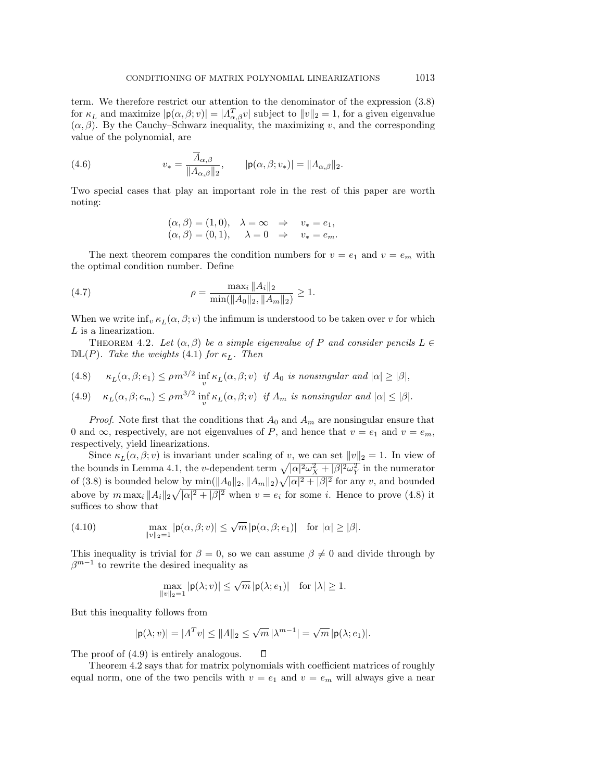term. We therefore restrict our attention to the denominator of the expression (3.8) for  $\kappa_L$  and maximize  $|\mathsf{p}(\alpha, \beta; v)| = |A_{\alpha,\beta}^T v|$  subject to  $||v||_2 = 1$ , for a given eigenvalue  $(\alpha, \beta)$ . By the Cauchy–Schwarz inequality, the maximizing v, and the corresponding value of the polynomial, are

(4.6) 
$$
v_* = \frac{\overline{A}_{\alpha,\beta}}{\|A_{\alpha,\beta}\|_2}, \qquad |\mathbf{p}(\alpha,\beta;v_*)| = \|A_{\alpha,\beta}\|_2.
$$

Two special cases that play an important role in the rest of this paper are worth noting:

$$
(\alpha, \beta) = (1, 0), \quad \lambda = \infty \quad \Rightarrow \quad v_* = e_1,
$$
  

$$
(\alpha, \beta) = (0, 1), \quad \lambda = 0 \quad \Rightarrow \quad v_* = e_m.
$$

The next theorem compares the condition numbers for  $v = e_1$  and  $v = e_m$  with the optimal condition number. Define

(4.7) 
$$
\rho = \frac{\max_{i} \|A_{i}\|_{2}}{\min(\|A_{0}\|_{2}, \|A_{m}\|_{2})} \ge 1.
$$

When we write  $\inf_v \kappa_L(\alpha, \beta; v)$  the infimum is understood to be taken over v for which L is a linearization.

THEOREM 4.2. Let  $(\alpha, \beta)$  be a simple eigenvalue of P and consider pencils  $L \in$  $\mathbb{DL}(P)$ . Take the weights (4.1) for  $\kappa_L$ . Then

(4.8) 
$$
\kappa_L(\alpha, \beta; e_1) \le \rho m^{3/2} \inf_v \kappa_L(\alpha, \beta; v) \text{ if } A_0 \text{ is nonsingular and } |\alpha| \ge |\beta|,
$$

(4.9) 
$$
\kappa_L(\alpha, \beta; e_m) \le \rho m^{3/2} \inf_v \kappa_L(\alpha, \beta; v) \text{ if } A_m \text{ is nonsingular and } |\alpha| \le |\beta|.
$$

*Proof.* Note first that the conditions that  $A_0$  and  $A_m$  are nonsingular ensure that 0 and  $\infty$ , respectively, are not eigenvalues of P, and hence that  $v = e_1$  and  $v = e_m$ , respectively, yield linearizations.

Since  $\kappa_L(\alpha, \beta; v)$  is invariant under scaling of v, we can set  $||v||_2 = 1$ . In view of the bounds in Lemma 4.1, the v-dependent term  $\sqrt{|\alpha|^2 \omega_X^2 + |\beta|^2 \omega_Y^2}$  in the numerator of (3.8) is bounded below by  $\min(\|A_0\|_2, \|A_m\|_2)\sqrt{|\alpha|^2+|\beta|^2}$  for any v, and bounded above by  $m \max_i ||A_i||_2 \sqrt{|\alpha|^2 + |\beta|^2}$  when  $v = e_i$  for some *i*. Hence to prove (4.8) it suffices to show that

(4.10) 
$$
\max_{\|v\|_2=1} |\mathsf{p}(\alpha,\beta;v)| \leq \sqrt{m} |\mathsf{p}(\alpha,\beta;e_1)| \text{ for } |\alpha| \geq |\beta|.
$$

This inequality is trivial for  $\beta = 0$ , so we can assume  $\beta \neq 0$  and divide through by  $\beta^{m-1}$  to rewrite the desired inequality as

$$
\max_{\|v\|_2=1} |\mathbf{p}(\lambda;v)| \le \sqrt{m} |\mathbf{p}(\lambda;e_1)| \quad \text{for } |\lambda| \ge 1.
$$

But this inequality follows from

$$
|\mathbf{p}(\lambda;v)| = |A^T v| \le ||A||_2 \le \sqrt{m} |\lambda^{m-1}| = \sqrt{m} |\mathbf{p}(\lambda;e_1)|.
$$

The proof of (4.9) is entirely analogous.  $\Box$ 

Theorem 4.2 says that for matrix polynomials with coefficient matrices of roughly equal norm, one of the two pencils with  $v = e_1$  and  $v = e_m$  will always give a near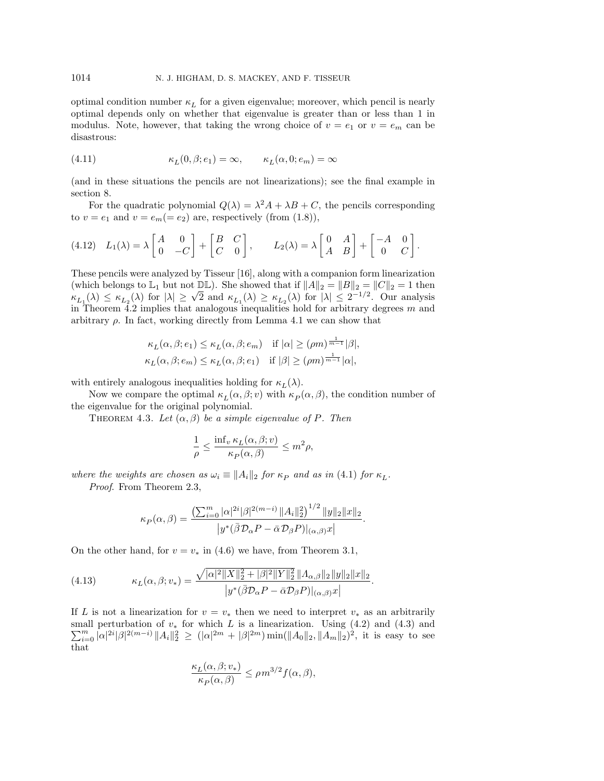optimal condition number  $\kappa_L$  for a given eigenvalue; moreover, which pencil is nearly optimal depends only on whether that eigenvalue is greater than or less than 1 in modulus. Note, however, that taking the wrong choice of  $v = e_1$  or  $v = e_m$  can be disastrous:

(4.11) 
$$
\kappa_L(0,\beta;e_1) = \infty, \qquad \kappa_L(\alpha,0;e_m) = \infty
$$

(and in these situations the pencils are not linearizations); see the final example in section 8.

For the quadratic polynomial  $Q(\lambda) = \lambda^2 A + \lambda B + C$ , the pencils corresponding to  $v = e_1$  and  $v = e_m (= e_2)$  are, respectively (from (1.8)),

$$
(4.12) \quad L_1(\lambda) = \lambda \begin{bmatrix} A & 0 \\ 0 & -C \end{bmatrix} + \begin{bmatrix} B & C \\ C & 0 \end{bmatrix}, \qquad L_2(\lambda) = \lambda \begin{bmatrix} 0 & A \\ A & B \end{bmatrix} + \begin{bmatrix} -A & 0 \\ 0 & C \end{bmatrix}.
$$

These pencils were analyzed by Tisseur [16], along with a companion form linearization (which belongs to  $\mathbb{L}_1$  but not  $\mathbb{DL}$ ). She showed that if  $||A||_2 = ||B||_2 = ||C||_2 = 1$  then  $\kappa_{L_1}(\lambda) \leq \kappa_{L_2}(\lambda)$  for  $|\lambda| \geq \sqrt{2}$  and  $\kappa_{L_1}(\lambda) \geq \kappa_{L_2}(\lambda)$  for  $|\lambda| \leq 2^{-1/2}$ . Our analysis in Theorem  $\overline{4.2}$  implies that analogous inequalities hold for arbitrary degrees m and arbitrary  $\rho$ . In fact, working directly from Lemma 4.1 we can show that

$$
\begin{aligned} &\kappa_L(\alpha,\beta;e_1)\leq \kappa_L(\alpha,\beta;e_m) \quad \text{if }|\alpha|\geq(\rho m)^{\frac{1}{m-1}}|\beta|,\\ &\kappa_L(\alpha,\beta;e_m)\leq \kappa_L(\alpha,\beta;e_1) \quad \text{if }|\beta|\geq(\rho m)^{\frac{1}{m-1}}|\alpha|, \end{aligned}
$$

with entirely analogous inequalities holding for  $\kappa_L(\lambda)$ .

Now we compare the optimal  $\kappa_L(\alpha, \beta; v)$  with  $\kappa_P(\alpha, \beta)$ , the condition number of the eigenvalue for the original polynomial.

THEOREM 4.3. Let  $(\alpha, \beta)$  be a simple eigenvalue of P. Then

$$
\frac{1}{\rho} \le \frac{\inf_v \kappa_L(\alpha, \beta; v)}{\kappa_P(\alpha, \beta)} \le m^2 \rho,
$$

where the weights are chosen as  $\omega_i \equiv ||A_i||_2$  for  $\kappa_P$  and as in (4.1) for  $\kappa_L$ .

Proof. From Theorem 2.3,

$$
\kappa_P(\alpha,\beta) = \frac{\left(\sum_{i=0}^m |\alpha|^{2i} |\beta|^{2(m-i)} \|A_i\|_2^2\right)^{1/2} \|y\|_2 \|x\|_2}{|y^*(\bar{\beta} \mathcal{D}_{\alpha} P - \bar{\alpha} \mathcal{D}_{\beta} P)|_{(\alpha,\beta)} x|}.
$$

On the other hand, for  $v = v_*$  in (4.6) we have, from Theorem 3.1,

(4.13) 
$$
\kappa_L(\alpha, \beta; v_*) = \frac{\sqrt{|\alpha|^2 \|X\|_2^2 + |\beta|^2 \|Y\|_2^2} \|A_{\alpha, \beta}\|_2 \|y\|_2 \|x\|_2}{|y^*(\bar{\beta} \mathcal{D}_{\alpha} P - \bar{\alpha} \mathcal{D}_{\beta} P)|_{(\alpha, \beta)} x|}.
$$

If L is not a linearization for  $v = v_*$  then we need to interpret  $v_*$  as an arbitrarily small perturbation of  $v_*$  for which L is a linearization. Using (4.2) and (4.3) and  $\sum_{i=0}^{m} |\alpha|^{2i} |\beta|^{2(m-i)} \|A_i\|_2^2 > (|\alpha|^{2m} + |\beta|^{2m}) \min(\|A_0\|_2, \|A_m\|_2)^2$ , it is easy to see  $\lim_{i=0}^m |\alpha|^{2i} |\beta|^{2(m-i)} \|A_i\|_2^2 \geq (|\alpha|^{2m} + |\beta|^{2m}) \min(||A_0||_2, ||A_m||_2)^2$ , it is easy to see that

$$
\frac{\kappa_L(\alpha, \beta; v_*)}{\kappa_P(\alpha, \beta)} \le \rho m^{3/2} f(\alpha, \beta),
$$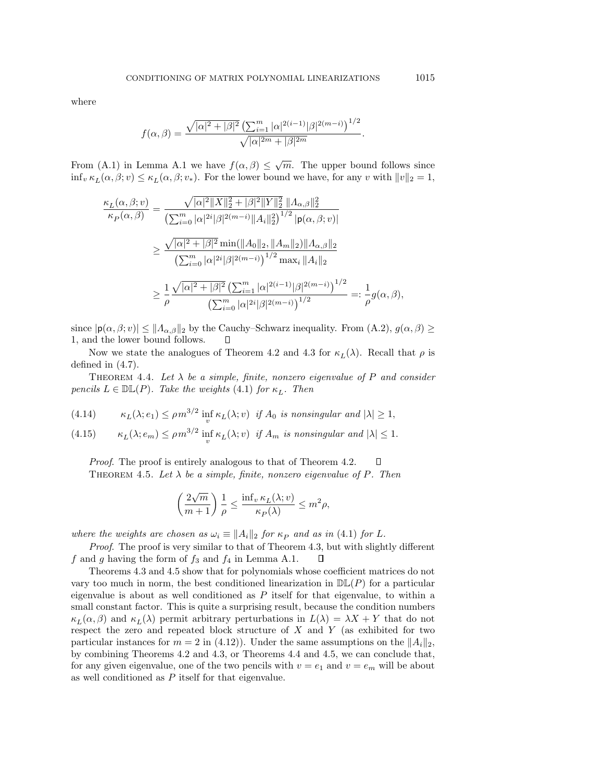where

$$
f(\alpha, \beta) = \frac{\sqrt{|\alpha|^2 + |\beta|^2} \left(\sum_{i=1}^m |\alpha|^{2(i-1)} |\beta|^{2(m-i)}\right)^{1/2}}{\sqrt{|\alpha|^{2m} + |\beta|^{2m}}}.
$$

From (A.1) in Lemma A.1 we have  $f(\alpha, \beta) \leq \sqrt{m}$ . The upper bound follows since  $\inf_v \kappa_L(\alpha, \beta; v) \leq \kappa_L(\alpha, \beta; v_*)$ . For the lower bound we have, for any v with  $||v||_2 = 1$ ,

$$
\frac{\kappa_L(\alpha,\beta;v)}{\kappa_P(\alpha,\beta)} = \frac{\sqrt{|\alpha|^2 \|X\|_2^2 + |\beta|^2 \|Y\|_2^2} \|A_{\alpha,\beta}\|_2^2}}{\left(\sum_{i=0}^m |\alpha|^{2i} |\beta|^{2(m-i)} \|A_i\|_2^2\right)^{1/2} |\mathbf{p}(\alpha,\beta;v)|}
$$
  

$$
\geq \frac{\sqrt{|\alpha|^2 + |\beta|^2} \min(\|A_0\|_2, \|A_m\|_2) \|A_{\alpha,\beta}\|_2}{\left(\sum_{i=0}^m |\alpha|^{2i} |\beta|^{2(m-i)}\right)^{1/2} \max_i \|A_i\|_2}
$$
  

$$
\geq \frac{1}{\rho} \frac{\sqrt{|\alpha|^2 + |\beta|^2} \left(\sum_{i=1}^m |\alpha|^{2(i-1)} |\beta|^{2(m-i)}\right)^{1/2}}{\left(\sum_{i=0}^m |\alpha|^{2i} |\beta|^{2(m-i)}\right)^{1/2}} =: \frac{1}{\rho} g(\alpha,\beta),
$$

since  $|\mathbf{p}(\alpha,\beta; v)| \leq ||A_{\alpha,\beta}||_2$  by the Cauchy–Schwarz inequality. From  $(A.2), g(\alpha,\beta) \geq$ 1, and the lower bound follows. П

Now we state the analogues of Theorem 4.2 and 4.3 for  $\kappa_L(\lambda)$ . Recall that  $\rho$  is defined in (4.7).

THEOREM 4.4. Let  $\lambda$  be a simple, finite, nonzero eigenvalue of P and consider pencils  $L \in \mathbb{DL}(P)$ . Take the weights (4.1) for  $\kappa_L$ . Then

(4.14) 
$$
\kappa_L(\lambda; e_1) \le \rho m^{3/2} \inf_v \kappa_L(\lambda; v) \text{ if } A_0 \text{ is nonsingular and } |\lambda| \ge 1,
$$

(4.15) 
$$
\kappa_L(\lambda; e_m) \le \rho m^{3/2} \inf_v \kappa_L(\lambda; v) \text{ if } A_m \text{ is nonsingular and } |\lambda| \le 1.
$$

*Proof.* The proof is entirely analogous to that of Theorem 4.2.  $\Box$ THEOREM 4.5. Let  $\lambda$  be a simple, finite, nonzero eigenvalue of P. Then

$$
\left(\frac{2\sqrt{m}}{m+1}\right)\frac{1}{\rho}\leq \frac{\inf_v \kappa_L(\lambda;v)}{\kappa_P(\lambda)}\leq m^2\rho,
$$

where the weights are chosen as  $\omega_i \equiv ||A_i||_2$  for  $\kappa_P$  and as in (4.1) for L.

Proof. The proof is very similar to that of Theorem 4.3, but with slightly different f and g having the form of  $f_3$  and  $f_4$  in Lemma A.1.  $\Box$ 

Theorems 4.3 and 4.5 show that for polynomials whose coefficient matrices do not vary too much in norm, the best conditioned linearization in  $D\mathbb{L}(P)$  for a particular eigenvalue is about as well conditioned as  $P$  itself for that eigenvalue, to within a small constant factor. This is quite a surprising result, because the condition numbers  $\kappa_L(\alpha, \beta)$  and  $\kappa_L(\lambda)$  permit arbitrary perturbations in  $L(\lambda) = \lambda X + Y$  that do not respect the zero and repeated block structure of  $X$  and  $Y$  (as exhibited for two particular instances for  $m = 2$  in (4.12)). Under the same assumptions on the  $||A_i||_2$ , by combining Theorems 4.2 and 4.3, or Theorems 4.4 and 4.5, we can conclude that, for any given eigenvalue, one of the two pencils with  $v = e_1$  and  $v = e_m$  will be about as well conditioned as  $P$  itself for that eigenvalue.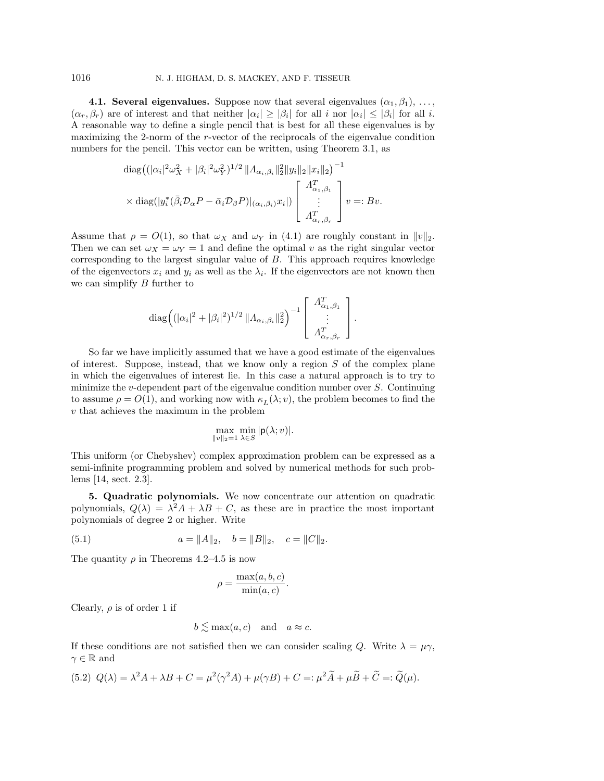**4.1. Several eigenvalues.** Suppose now that several eigenvalues  $(\alpha_1, \beta_1), \ldots,$  $(\alpha_r, \beta_r)$  are of interest and that neither  $|\alpha_i| \geq |\beta_i|$  for all i nor  $|\alpha_i| \leq |\beta_i|$  for all i. A reasonable way to define a single pencil that is best for all these eigenvalues is by maximizing the 2-norm of the r-vector of the reciprocals of the eigenvalue condition numbers for the pencil. This vector can be written, using Theorem 3.1, as

$$
\operatorname{diag}\left((|\alpha_i|^2 \omega_X^2 + |\beta_i|^2 \omega_Y^2)^{1/2} \|A_{\alpha_i, \beta_i}\|_2^2 \|y_i\|_2 \|x_i\|_2\right)^{-1}
$$
  
 
$$
\times \operatorname{diag}(|y_i^*(\bar{\beta}_i \mathcal{D}_{\alpha} P - \bar{\alpha}_i \mathcal{D}_{\beta} P)|_{(\alpha_i, \beta_i)} x_i|) \left[\begin{array}{c} A_{\alpha_1, \beta_1}^T \\ \vdots \\ A_{\alpha_r, \beta_r}^T \end{array}\right] v =: Bv.
$$

Assume that  $\rho = O(1)$ , so that  $\omega_X$  and  $\omega_Y$  in (4.1) are roughly constant in  $||v||_2$ . Then we can set  $\omega_X = \omega_Y = 1$  and define the optimal v as the right singular vector corresponding to the largest singular value of B. This approach requires knowledge of the eigenvectors  $x_i$  and  $y_i$  as well as the  $\lambda_i$ . If the eigenvectors are not known then we can simplify B further to

$$
\operatorname{diag}\left( (|\alpha_i|^2 + |\beta_i|^2)^{1/2} ||A_{\alpha_i, \beta_i}||_2^2 \right)^{-1} \left[ \begin{array}{c} A_{\alpha_1, \beta_1}^T \\ \vdots \\ A_{\alpha_r, \beta_r}^T \end{array} \right].
$$

So far we have implicitly assumed that we have a good estimate of the eigenvalues of interest. Suppose, instead, that we know only a region  $S$  of the complex plane in which the eigenvalues of interest lie. In this case a natural approach is to try to minimize the v-dependent part of the eigenvalue condition number over  $S$ . Continuing to assume  $\rho = O(1)$ , and working now with  $\kappa_L(\lambda; v)$ , the problem becomes to find the v that achieves the maximum in the problem

$$
\max_{\|v\|_2=1}\min_{\lambda\in S}|\mathsf{p}(\lambda;v)|.
$$

This uniform (or Chebyshev) complex approximation problem can be expressed as a semi-infinite programming problem and solved by numerical methods for such problems [14, sect. 2.3].

**5. Quadratic polynomials.** We now concentrate our attention on quadratic polynomials,  $Q(\lambda) = \lambda^2 A + \lambda B + C$ , as these are in practice the most important polynomials of degree 2 or higher. Write

(5.1) 
$$
a = ||A||_2, \quad b = ||B||_2, \quad c = ||C||_2.
$$

The quantity  $\rho$  in Theorems 4.2–4.5 is now

$$
\rho = \frac{\max(a, b, c)}{\min(a, c)}.
$$

Clearly,  $\rho$  is of order 1 if

$$
b \lesssim \max(a, c)
$$
 and  $a \approx c$ .

If these conditions are not satisfied then we can consider scaling Q. Write  $\lambda = \mu \gamma$ ,  $\gamma \in \mathbb{R}$  and

(5.2) 
$$
Q(\lambda) = \lambda^2 A + \lambda B + C = \mu^2(\gamma^2 A) + \mu(\gamma B) + C =: \mu^2 \widetilde{A} + \mu \widetilde{B} + \widetilde{C} =: \widetilde{Q}(\mu).
$$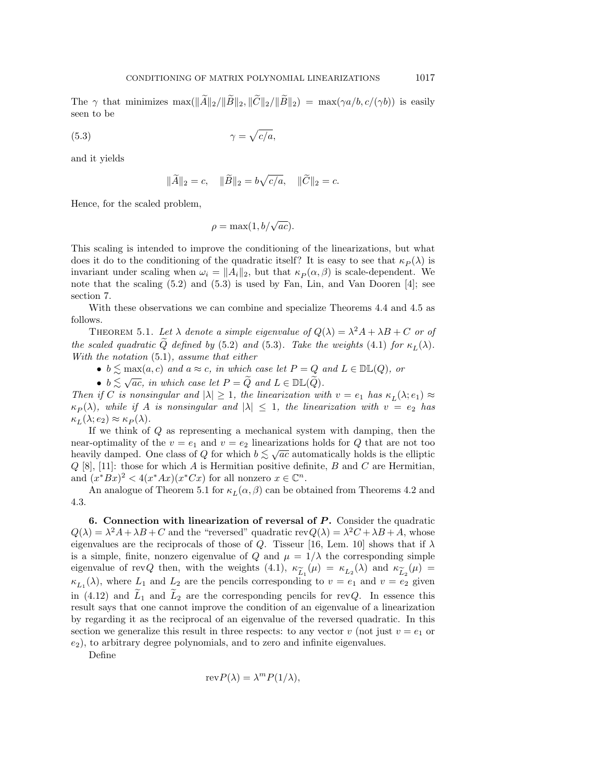The  $\gamma$  that minimizes  $\max(\|\widetilde{A}\|_2/\|\widetilde{B}\|_2, \|\widetilde{C}\|_2/\|\widetilde{B}\|_2) = \max(\gamma a/b, c/(\gamma b))$  is easily seen to be

$$
\gamma = \sqrt{c/a},
$$

and it yields

$$
\|\widetilde{A}\|_2 = c, \quad \|\widetilde{B}\|_2 = b\sqrt{c/a}, \quad \|\widetilde{C}\|_2 = c.
$$

Hence, for the scaled problem,

$$
\rho = \max(1, b/\sqrt{ac}).
$$

This scaling is intended to improve the conditioning of the linearizations, but what does it do to the conditioning of the quadratic itself? It is easy to see that  $\kappa_P(\lambda)$  is invariant under scaling when  $\omega_i = ||A_i||_2$ , but that  $\kappa_P(\alpha, \beta)$  is scale-dependent. We note that the scaling (5.2) and (5.3) is used by Fan, Lin, and Van Dooren [4]; see section 7.

With these observations we can combine and specialize Theorems 4.4 and 4.5 as follows.

THEOREM 5.1. Let  $\lambda$  denote a simple eigenvalue of  $Q(\lambda) = \lambda^2 A + \lambda B + C$  or of the scaled quadratic  $\tilde{Q}$  defined by (5.2) and (5.3). Take the weights (4.1) for  $\kappa_L(\lambda)$ . With the notation  $(5.1)$ , assume that either

•  $b \lesssim \max(a, c)$  and  $a \approx c$ , in which case let  $P = Q$  and  $L \in \mathbb{DL}(Q)$ , or

•  $b \lesssim \sqrt{ac}$ , in which case let  $P = \widetilde{Q}$  and  $L \in \mathbb{DL}(\widetilde{Q})$ .

Then if C is nonsingular and  $|\lambda| \geq 1$ , the linearization with  $v = e_1$  has  $\kappa_L(\lambda; e_1) \approx$  $\kappa_P(\lambda)$ , while if A is nonsingular and  $|\lambda| \leq 1$ , the linearization with  $v = e_2$  has  $\kappa_L(\lambda; e_2) \approx \kappa_P(\lambda).$ 

If we think of Q as representing a mechanical system with damping, then the near-optimality of the  $v = e_1$  and  $v = e_2$  linearizations holds for Q that are not too heavily damped. One class of Q for which  $b \lesssim \sqrt{ac}$  automatically holds is the elliptic heavily damped. One class of Q for which  $b \lesssim \sqrt{ac}$  automatically holds is the elliptic  $Q$  [8], [11]: those for which A is Hermitian positive definite, B and C are Hermitian, and  $(x^*Bx)^2 < 4(x^*Ax)(x^*Cx)$  for all nonzero  $x \in \mathbb{C}^n$ .

An analogue of Theorem 5.1 for  $\kappa_L(\alpha, \beta)$  can be obtained from Theorems 4.2 and 4.3.

**6. Connection with linearization of reversal of** *P* **.** Consider the quadratic  $Q(\lambda) = \lambda^2 A + \lambda B + C$  and the "reversed" quadratic rev $Q(\lambda) = \lambda^2 C + \lambda B + A$ , whose eigenvalues are the reciprocals of those of Q. Tisseur [16, Lem. 10] shows that if  $\lambda$ is a simple, finite, nonzero eigenvalue of Q and  $\mu = 1/\lambda$  the corresponding simple eigenvalue of revQ then, with the weights (4.1),  $\kappa_{\widetilde{L}_1}(\mu) = \kappa_{L_2}(\lambda)$  and  $\kappa_{\widetilde{L}_2}(\mu) =$ <br>(A) where L<sub>2</sub> and L<sub>2</sub> are the pencils corresponding to  $y = e_2$  and  $y = e_2$  given  $\kappa_{L_1}(\lambda)$ , where  $L_1$  and  $L_2$  are the pencils corresponding to  $v = e_1$  and  $v = e_2$  given in (4.12) and  $\tilde{L}_1$  and  $L_2$  are the corresponding pencils for revQ. In essence this result says that one cannot improve the condition of an eigenvalue of a linearization by regarding it as the reciprocal of an eigenvalue of the reversed quadratic. In this section we generalize this result in three respects: to any vector v (not just  $v = e_1$  or  $(e_2)$ , to arbitrary degree polynomials, and to zero and infinite eigenvalues.

Define

$$
revP(\lambda) = \lambda^m P(1/\lambda),
$$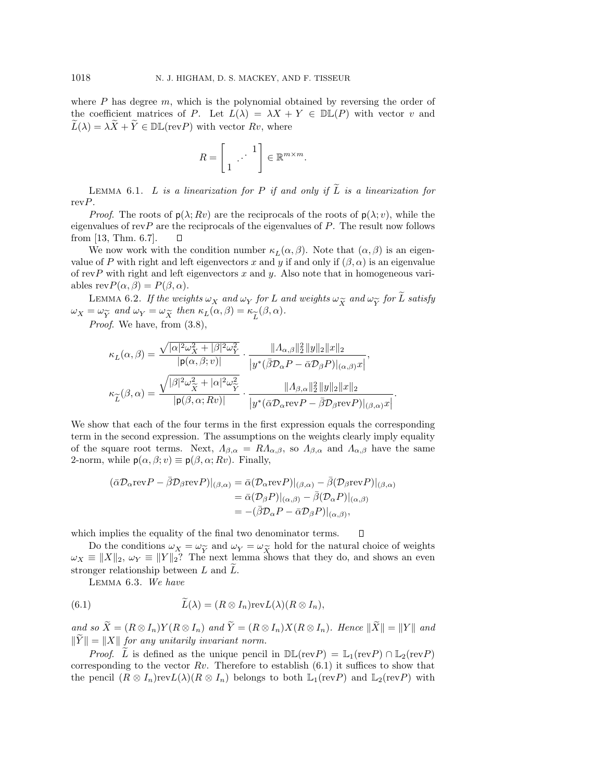where  $P$  has degree  $m$ , which is the polynomial obtained by reversing the order of the coefficient matrices of P. Let  $L(\lambda) = \lambda X + Y \in \mathbb{DL}(P)$  with vector v and  $\widetilde{L}(\lambda) = \lambda \widetilde{X} + \widetilde{Y} \in \mathbb{DL}(\text{rev}P)$  with vector  $Rv$ , where

$$
R = \begin{bmatrix} 1 & \cdots & 1 \\ 1 & \cdots & \cdots \end{bmatrix} \in \mathbb{R}^{m \times m}.
$$

LEMMA 6.1. L is a linearization for P if and only if  $\widetilde{L}$  is a linearization for  $revP$ .

*Proof.* The roots of  $p(\lambda; Rv)$  are the reciprocals of the roots of  $p(\lambda; v)$ , while the eigenvalues of  $revP$  are the reciprocals of the eigenvalues of  $P$ . The result now follows from [13, Thm. 6.7].  $\Box$ 

We now work with the condition number  $\kappa_L(\alpha, \beta)$ . Note that  $(\alpha, \beta)$  is an eigenvalue of P with right and left eigenvectors x and y if and only if  $(\beta, \alpha)$  is an eigenvalue of revP with right and left eigenvectors  $x$  and  $y$ . Also note that in homogeneous variables  $revP(\alpha, \beta) = P(\beta, \alpha)$ .

LEMMA 6.2. If the weights  $\omega_X$  and  $\omega_Y$  for L and weights  $\omega_{\widetilde{X}}$  and  $\omega_{\widetilde{Y}}$  for  $\widetilde{L}$  satisfy  $\omega_X = \omega_{\widetilde{Y}}$  and  $\omega_Y = \omega_{\widetilde{X}}$  then  $\kappa_L(\alpha, \beta) = \kappa_{\widetilde{L}}(\beta, \alpha)$ .<br>Proof We have from (3.8)

Proof. We have, from (3.8),

$$
\begin{aligned} \kappa_L(\alpha,\beta) &= \frac{\sqrt{|\alpha|^2\omega_X^2+|\beta|^2\omega_Y^2}}{|\mathbf{p}(\alpha,\beta;v)|} \cdot \frac{\|A_{\alpha,\beta}\|_2^2\, \|y\|_2\|x\|_2}{\big|y^*(\bar{\beta}\mathcal{D}_\alpha P - \bar{\alpha}\mathcal{D}_\beta P\big)|_{(\alpha,\beta)}x\big|},\\ \kappa_{\widetilde{L}}(\beta,\alpha) &= \frac{\sqrt{|\beta|^2\omega_X^2+|\alpha|^2\omega_Y^2}}{|\mathbf{p}(\beta,\alpha;Rv)|} \cdot \frac{\|A_{\beta,\alpha}\|_2^2\, \|y\|_2\|x\|_2}{\big|y^*(\bar{\alpha}\mathcal{D}_\alpha\mathrm{rev}P - \bar{\beta}\mathcal{D}_\beta\mathrm{rev}P\big)|_{(\beta,\alpha)}x\big|} \end{aligned}
$$

.

 $\Box$ 

We show that each of the four terms in the first expression equals the corresponding term in the second expression. The assumptions on the weights clearly imply equality of the square root terms. Next,  $\Lambda_{\beta,\alpha} = R\Lambda_{\alpha,\beta}$ , so  $\Lambda_{\beta,\alpha}$  and  $\Lambda_{\alpha,\beta}$  have the same 2-norm, while  $p(\alpha, \beta; v) \equiv p(\beta, \alpha; Rv)$ . Finally,

$$
\begin{aligned} (\bar{\alpha}\mathcal{D}_{\alpha}\text{rev}P - \bar{\beta}\mathcal{D}_{\beta}\text{rev}P)|_{(\beta,\alpha)} &= \bar{\alpha}(\mathcal{D}_{\alpha}\text{rev}P)|_{(\beta,\alpha)} - \bar{\beta}(\mathcal{D}_{\beta}\text{rev}P)|_{(\beta,\alpha)} \\ &= \bar{\alpha}(\mathcal{D}_{\beta}P)|_{(\alpha,\beta)} - \bar{\beta}(\mathcal{D}_{\alpha}P)|_{(\alpha,\beta)} \\ &= -(\bar{\beta}\mathcal{D}_{\alpha}P - \bar{\alpha}\mathcal{D}_{\beta}P)|_{(\alpha,\beta)}, \end{aligned}
$$

which implies the equality of the final two denominator terms.

Do the conditions  $\omega_X = \omega_{\widetilde{Y}}$  and  $\omega_Y = \omega_{\widetilde{X}}$  hold for the natural choice of weights  $\omega_X \equiv ||X||_2$ ,  $\omega_Y \equiv ||Y||_2$ ? The next lemma shows that they do, and shows an even stronger relationship between L and L.

Lemma 6.3. We have

(6.1) 
$$
\tilde{L}(\lambda) = (R \otimes I_n) \text{rev} L(\lambda) (R \otimes I_n),
$$

and so  $\widetilde{X} = (R \otimes I_n)Y(R \otimes I_n)$  and  $\widetilde{Y} = (R \otimes I_n)X(R \otimes I_n)$ . Hence  $\|\widetilde{X}\| = \|Y\|$  and  $\|\tilde{Y}\| = \|X\|$  for any unitarily invariant norm.

*Proof.* L is defined as the unique pencil in  $\mathbb{DL}(\text{rev}P) = \mathbb{L}_1(\text{rev}P) \cap \mathbb{L}_2(\text{rev}P)$ corresponding to the vector  $Rv$ . Therefore to establish  $(6.1)$  it suffices to show that the pencil  $(R \otimes I_n)revL(\lambda)(R \otimes I_n)$  belongs to both  $\mathbb{L}_1(revP)$  and  $\mathbb{L}_2(revP)$  with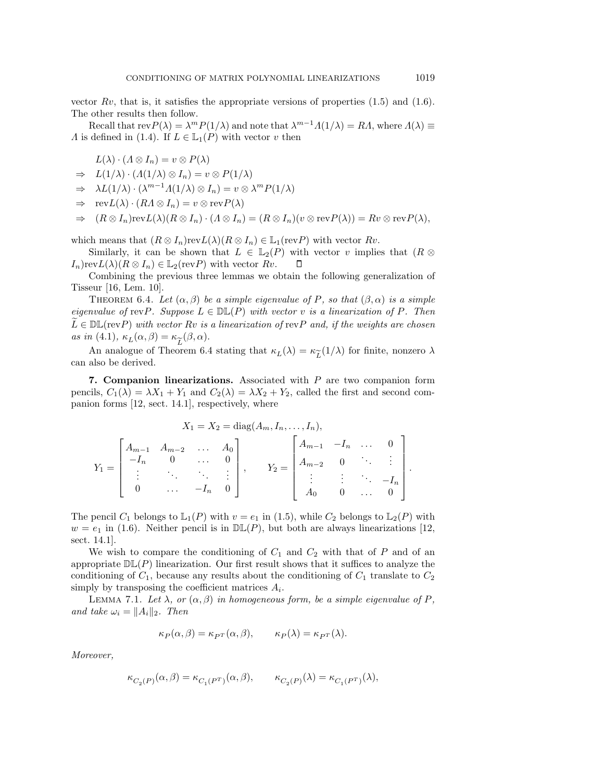vector  $Rv$ , that is, it satisfies the appropriate versions of properties  $(1.5)$  and  $(1.6)$ . The other results then follow.

Recall that  $\text{rev}P(\lambda) = \lambda^m P(1/\lambda)$  and note that  $\lambda^{m-1} \Lambda(1/\lambda) = R\Lambda$ , where  $\Lambda(\lambda) \equiv$ A is defined in (1.4). If  $L \in \mathbb{L}_1(P)$  with vector v then

$$
L(\lambda) \cdot (\Lambda \otimes I_n) = v \otimes P(\lambda)
$$

$$
\Rightarrow L(1/\lambda) \cdot (A(1/\lambda) \otimes I_n) = v \otimes P(1/\lambda)
$$

 $\Rightarrow \lambda L(1/\lambda) \cdot (\lambda^{m-1} \Lambda(1/\lambda) \otimes I_n) = v \otimes \lambda^m P(1/\lambda)$ 

 $\Rightarrow \operatorname{rev}L(\lambda) \cdot (R\Lambda \otimes I_n) = v \otimes \operatorname{rev}P(\lambda)$ 

$$
\Rightarrow (R \otimes I_n)\mathrm{rev}\mathcal{L}(\lambda)(R \otimes I_n) \cdot (\Lambda \otimes I_n) = (R \otimes I_n)(v \otimes \mathrm{rev}\mathcal{P}(\lambda)) = Rv \otimes \mathrm{rev}\mathcal{P}(\lambda),
$$

which means that  $(R \otimes I_n)\text{rev}L(\lambda)(R \otimes I_n) \in \mathbb{L}_1(\text{rev}P)$  with vector  $Rv$ .

Similarly, it can be shown that  $L \in \mathbb{L}_2(P)$  with vector v implies that  $(R \otimes$  $I_n$ )rev $L(\lambda)(R \otimes I_n) \in \mathbb{L}_2(\text{rev}P)$  with vector  $Rv$ .  $\Box$ 

Combining the previous three lemmas we obtain the following generalization of Tisseur [16, Lem. 10].

THEOREM 6.4. Let  $(\alpha, \beta)$  be a simple eigenvalue of P, so that  $(\beta, \alpha)$  is a simple eigenvalue of revP. Suppose  $L \in \mathbb{DL}(P)$  with vector v is a linearization of P. Then  $\widetilde{L} \in \mathbb{DL}(\text{rev}P)$  with vector Rv is a linearization of  $\text{rev}P$  and, if the weights are chosen as in (4.1),  $\kappa_L(\alpha, \beta) = \kappa_{\widetilde{L}}(\beta, \alpha)$ .<br>An analogue of Theorem 6.4

An analogue of Theorem 6.4 stating that  $\kappa_L(\lambda) = \kappa_{\widetilde{L}}(1/\lambda)$  for finite, nonzero  $\lambda$ can also be derived.

**7. Companion linearizations.** Associated with P are two companion form pencils,  $C_1(\lambda) = \lambda X_1 + Y_1$  and  $C_2(\lambda) = \lambda X_2 + Y_2$ , called the first and second companion forms [12, sect. 14.1], respectively, where

$$
X_1 = X_2 = \text{diag}(A_m, I_n, \dots, I_n),
$$
  
\n
$$
Y_1 = \begin{bmatrix} A_{m-1} & A_{m-2} & \dots & A_0 \\ -I_n & 0 & \dots & 0 \\ \vdots & \ddots & \ddots & \vdots \\ 0 & \dots & -I_n & 0 \end{bmatrix}, \qquad Y_2 = \begin{bmatrix} A_{m-1} & -I_n & \dots & 0 \\ A_{m-2} & 0 & \ddots & \vdots \\ \vdots & \vdots & \ddots & -I_n \\ A_0 & 0 & \dots & 0 \end{bmatrix}.
$$

The pencil  $C_1$  belongs to  $\mathbb{L}_1(P)$  with  $v = e_1$  in (1.5), while  $C_2$  belongs to  $\mathbb{L}_2(P)$  with  $w = e_1$  in (1.6). Neither pencil is in  $D\mathbb{L}(P)$ , but both are always linearizations [12, sect. 14.1].

We wish to compare the conditioning of  $C_1$  and  $C_2$  with that of P and of an appropriate  $D\mathbb{L}(P)$  linearization. Our first result shows that it suffices to analyze the conditioning of  $C_1$ , because any results about the conditioning of  $C_1$  translate to  $C_2$ simply by transposing the coefficient matrices  $A_i$ .

LEMMA 7.1. Let  $\lambda$ , or  $(\alpha, \beta)$  in homogeneous form, be a simple eigenvalue of P, and take  $\omega_i = ||A_i||_2$ . Then

$$
\kappa_P(\alpha, \beta) = \kappa_{P^T}(\alpha, \beta), \qquad \kappa_P(\lambda) = \kappa_{P^T}(\lambda).
$$

Moreover,

$$
\kappa_{C_2(P)}(\alpha,\beta)=\kappa_{C_1(P^T)}(\alpha,\beta),\qquad \kappa_{C_2(P)}(\lambda)=\kappa_{C_1(P^T)}(\lambda),
$$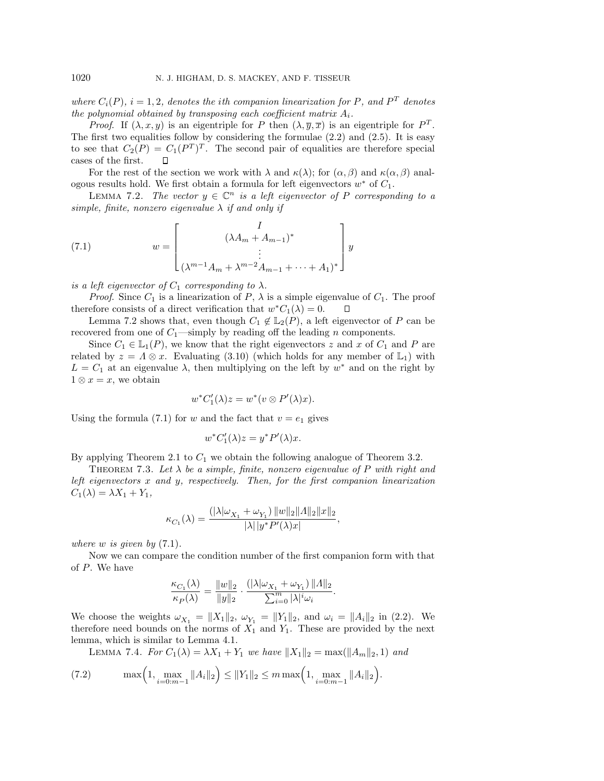where  $C_i(P)$ ,  $i = 1, 2$ , denotes the ith companion linearization for P, and P<sup>T</sup> denotes the polynomial obtained by transposing each coefficient matrix  $A_i$ .

*Proof.* If  $(\lambda, x, y)$  is an eigentriple for P then  $(\lambda, \overline{y}, \overline{x})$  is an eigentriple for  $P<sup>T</sup>$ . The first two equalities follow by considering the formulae  $(2.2)$  and  $(2.5)$ . It is easy to see that  $C_2(P) = C_1(P^T)^T$ . The second pair of equalities are therefore special cases of the first.  $\Box$ 

For the rest of the section we work with  $\lambda$  and  $\kappa(\lambda)$ ; for  $(\alpha, \beta)$  and  $\kappa(\alpha, \beta)$  analogous results hold. We first obtain a formula for left eigenvectors  $w^*$  of  $C_1$ .

LEMMA 7.2. The vector  $y \in \mathbb{C}^n$  is a left eigenvector of P corresponding to a simple, finite, nonzero eigenvalue  $\lambda$  if and only if

(7.1) 
$$
w = \begin{bmatrix} I \\ (\lambda A_m + A_{m-1})^* \\ \vdots \\ (\lambda^{m-1} A_m + \lambda^{m-2} A_{m-1} + \dots + A_1)^* \end{bmatrix} y
$$

is a left eigenvector of  $C_1$  corresponding to  $\lambda$ .

*Proof.* Since  $C_1$  is a linearization of  $P$ ,  $\lambda$  is a simple eigenvalue of  $C_1$ . The proof therefore consists of a direct verification that  $w^*C_1(\lambda) = 0$ . П

Lemma 7.2 shows that, even though  $C_1 \notin L_2(P)$ , a left eigenvector of P can be recovered from one of  $C_1$ —simply by reading off the leading n components.

Since  $C_1 \in \mathbb{L}_1(P)$ , we know that the right eigenvectors z and x of  $C_1$  and P are related by  $z = \Lambda \otimes x$ . Evaluating (3.10) (which holds for any member of  $\mathbb{L}_1$ ) with  $L = C_1$  at an eigenvalue  $\lambda$ , then multiplying on the left by  $w^*$  and on the right by  $1 \otimes x = x$ , we obtain

$$
w^*C'_1(\lambda)z = w^*(v \otimes P'(\lambda)x).
$$

Using the formula (7.1) for w and the fact that  $v = e_1$  gives

$$
w^*C_1'(\lambda)z = y^*P'(\lambda)x.
$$

By applying Theorem 2.1 to  $C_1$  we obtain the following analogue of Theorem 3.2.

THEOREM 7.3. Let  $\lambda$  be a simple, finite, nonzero eigenvalue of P with right and left eigenvectors x and y, respectively. Then, for the first companion linearization  $C_1(\lambda) = \lambda X_1 + Y_1,$ 

$$
\kappa_{C_1}(\lambda) = \frac{(|\lambda|\omega_{X_1} + \omega_{Y_1}) ||w||_2 ||A||_2 ||x||_2}{|\lambda||y^* P'(\lambda)x|},
$$

where  $w$  is given by  $(7.1)$ .

Now we can compare the condition number of the first companion form with that of P. We have

$$
\frac{\kappa_{C_1}(\lambda)}{\kappa_P(\lambda)} = \frac{||w||_2}{||y||_2} \cdot \frac{(|\lambda|\omega_{X_1} + \omega_{Y_1}) ||A||_2}{\sum_{i=0}^m |\lambda|^i \omega_i}.
$$

We choose the weights  $\omega_{X_1} = ||X_1||_2$ ,  $\omega_{Y_1} = ||Y_1||_2$ , and  $\omega_i = ||A_i||_2$  in (2.2). We therefore need bounds on the norms of  $X_1$  and  $Y_1$ . These are provided by the next lemma, which is similar to Lemma 4.1.

LEMMA 7.4. For  $C_1(\lambda) = \lambda X_1 + Y_1$  we have  $||X_1||_2 = \max(||A_m||_2, 1)$  and

(7.2) 
$$
\max\left(1, \max_{i=0:m-1} \|A_i\|_2\right) \le \|Y_1\|_2 \le m \max\left(1, \max_{i=0:m-1} \|A_i\|_2\right).
$$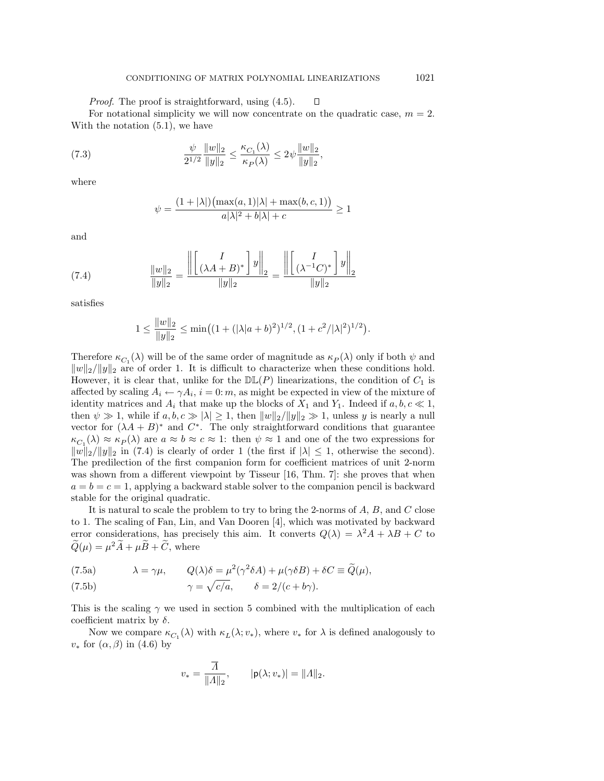Proof. The proof is straightforward, using (4.5).  $\Box$ For notational simplicity we will now concentrate on the quadratic case,  $m = 2$ . With the notation (5.1), we have

(7.3) 
$$
\frac{\psi}{2^{1/2}} \frac{\|w\|_2}{\|y\|_2} \le \frac{\kappa_{C_1}(\lambda)}{\kappa_P(\lambda)} \le 2\psi \frac{\|w\|_2}{\|y\|_2},
$$

 $\sim$ 

where

$$
\psi = \frac{(1+|\lambda|)(\max(a,1)|\lambda| + \max(b,c,1))}{a|\lambda|^2 + b|\lambda| + c} \ge 1
$$

and

(7.4) 
$$
\frac{\|w\|_2}{\|y\|_2} = \frac{\left\| \begin{bmatrix} I \\ (\lambda A + B)^* \end{bmatrix} y \right\|_2}{\|y\|_2} = \frac{\left\| \begin{bmatrix} I \\ (\lambda^{-1}C)^* \end{bmatrix} y \right\|_2}{\|y\|_2}
$$

satisfies

$$
1 \le \frac{||w||_2}{||y||_2} \le \min\left( (1 + (|\lambda|a+b)^2)^{1/2}, (1 + c^2/|\lambda|^2)^{1/2} \right).
$$

Therefore  $\kappa_{C_1}(\lambda)$  will be of the same order of magnitude as  $\kappa_P(\lambda)$  only if both  $\psi$  and  $||w||_2/||y||_2$  are of order 1. It is difficult to characterize when these conditions hold. However, it is clear that, unlike for the  $D\mathbb{L}(P)$  linearizations, the condition of  $C_1$  is affected by scaling  $A_i \leftarrow \gamma A_i$ ,  $i = 0$ : m, as might be expected in view of the mixture of identity matrices and  $A_i$  that make up the blocks of  $X_1$  and  $Y_1$ . Indeed if  $a, b, c \ll 1$ , then  $\psi \gg 1$ , while if  $a, b, c \gg |\lambda| \geq 1$ , then  $||w||_2/||y||_2 \gg 1$ , unless y is nearly a null vector for  $(\lambda A + B)^*$  and  $C^*$ . The only straightforward conditions that guarantee  $\kappa_{C_1}(\lambda) \approx \kappa_P(\lambda)$  are  $a \approx b \approx c \approx 1$ : then  $\psi \approx 1$  and one of the two expressions for  $||w||_2/||y||_2$  in (7.4) is clearly of order 1 (the first if  $|\lambda| \leq 1$ , otherwise the second). The predilection of the first companion form for coefficient matrices of unit 2-norm was shown from a different viewpoint by Tisseur [16, Thm. 7]: she proves that when  $a = b = c = 1$ , applying a backward stable solver to the companion pencil is backward stable for the original quadratic.

It is natural to scale the problem to try to bring the 2-norms of  $A, B$ , and  $C$  close to 1. The scaling of Fan, Lin, and Van Dooren [4], which was motivated by backward error considerations, has precisely this aim. It converts  $Q(\lambda) = \lambda^2 A + \lambda B + C$  to  $\widetilde{Q}(\mu) = \mu^2 \widetilde{A} + \mu \widetilde{B} + \widetilde{C}$ , where

(7.5a) 
$$
\lambda = \gamma \mu, \qquad Q(\lambda)\delta = \mu^2(\gamma^2 \delta A) + \mu(\gamma \delta B) + \delta C \equiv \widetilde{Q}(\mu),
$$

(7.5b) 
$$
\gamma = \sqrt{c/a}, \qquad \delta = 2/(c + b\gamma).
$$

This is the scaling  $\gamma$  we used in section 5 combined with the multiplication of each coefficient matrix by  $\delta$ .

Now we compare  $\kappa_{C_1}(\lambda)$  with  $\kappa_L(\lambda; v_*),$  where  $v_*$  for  $\lambda$  is defined analogously to  $v_*$  for  $(\alpha, \beta)$  in (4.6) by

$$
v_* = \frac{\overline{A}}{\|A\|_2}, \qquad |\mathsf{p}(\lambda; v_*)| = \|A\|_2.
$$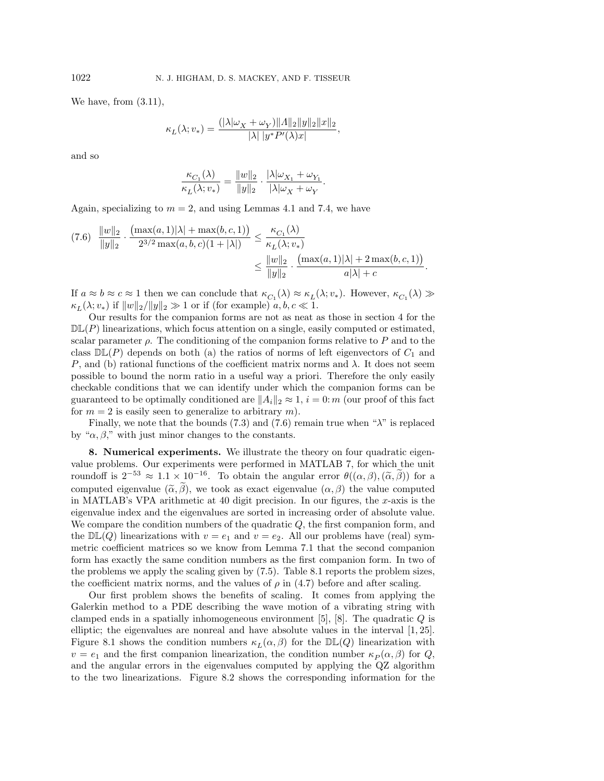We have, from (3.11),

$$
\kappa_L(\lambda; v_*) = \frac{(|\lambda|\omega_X + \omega_Y) ||\Lambda||_2 ||y||_2 ||x||_2}{|\lambda||y^* P'(\lambda)x|},
$$

and so

$$
\frac{\kappa_{C_1}(\lambda)}{\kappa_L(\lambda; v_*)} = \frac{\|w\|_2}{\|y\|_2} \cdot \frac{|\lambda|\omega_{X_1} + \omega_{Y_1}}{|\lambda|\omega_X + \omega_Y}.
$$

Again, specializing to  $m = 2$ , and using Lemmas 4.1 and 7.4, we have

$$
(7.6) \frac{\|w\|_2}{\|y\|_2} \cdot \frac{\left(\max(a,1)|\lambda| + \max(b,c,1)\right)}{2^{3/2}\max(a,b,c)(1+|\lambda|)} \le \frac{\kappa_{C_1}(\lambda)}{\kappa_L(\lambda;v_*)} \le \frac{\|w\|_2}{\|y\|_2} \cdot \frac{\left(\max(a,1)|\lambda| + 2\max(b,c,1)\right)}{a|\lambda| + c}.
$$

If  $a \approx b \approx c \approx 1$  then we can conclude that  $\kappa_{C_1}(\lambda) \approx \kappa_L(\lambda; v_*)$ . However,  $\kappa_{C_1}(\lambda) \gg$  $\kappa_L(\lambda; v_*)$  if  $||w||_2/||y||_2 \gg 1$  or if (for example)  $a, b, c \ll 1$ .

Our results for the companion forms are not as neat as those in section 4 for the  $D\mathbb{L}(P)$  linearizations, which focus attention on a single, easily computed or estimated, scalar parameter  $\rho$ . The conditioning of the companion forms relative to P and to the class  $\mathbb{DL}(P)$  depends on both (a) the ratios of norms of left eigenvectors of  $C_1$  and P, and (b) rational functions of the coefficient matrix norms and  $\lambda$ . It does not seem possible to bound the norm ratio in a useful way a priori. Therefore the only easily checkable conditions that we can identify under which the companion forms can be guaranteed to be optimally conditioned are  $||A_i||_2 \approx 1$ ,  $i = 0$ : m (our proof of this fact for  $m = 2$  is easily seen to generalize to arbitrary m).

Finally, we note that the bounds (7.3) and (7.6) remain true when " $\lambda$ " is replaced by " $\alpha$ ,  $\beta$ ," with just minor changes to the constants.

**8. Numerical experiments.** We illustrate the theory on four quadratic eigenvalue problems. Our experiments were performed in MATLAB 7, for which the unit roundoff is  $2^{-53} \approx 1.1 \times 10^{-16}$ . To obtain the angular error  $\theta((\alpha, \beta), (\tilde{\alpha}, \tilde{\beta}))$  for a computed eigenvalue  $(\tilde{\alpha}, \tilde{\beta})$ , we took as exact eigenvalue  $(\alpha, \beta)$  the value computed in MATLAB's VPA arithmetic at 40 digit precision. In our figures, the x-axis is the eigenvalue index and the eigenvalues are sorted in increasing order of absolute value. We compare the condition numbers of the quadratic  $Q$ , the first companion form, and the  $\mathbb{DL}(Q)$  linearizations with  $v = e_1$  and  $v = e_2$ . All our problems have (real) symmetric coefficient matrices so we know from Lemma 7.1 that the second companion form has exactly the same condition numbers as the first companion form. In two of the problems we apply the scaling given by (7.5). Table 8.1 reports the problem sizes, the coefficient matrix norms, and the values of  $\rho$  in (4.7) before and after scaling.

Our first problem shows the benefits of scaling. It comes from applying the Galerkin method to a PDE describing the wave motion of a vibrating string with clamped ends in a spatially inhomogeneous environment [5], [8]. The quadratic  $Q$  is elliptic; the eigenvalues are nonreal and have absolute values in the interval [1, 25]. Figure 8.1 shows the condition numbers  $\kappa_L(\alpha, \beta)$  for the  $\mathbb{DL}(Q)$  linearization with  $v = e_1$  and the first companion linearization, the condition number  $\kappa_P(\alpha, \beta)$  for Q, and the angular errors in the eigenvalues computed by applying the QZ algorithm to the two linearizations. Figure 8.2 shows the corresponding information for the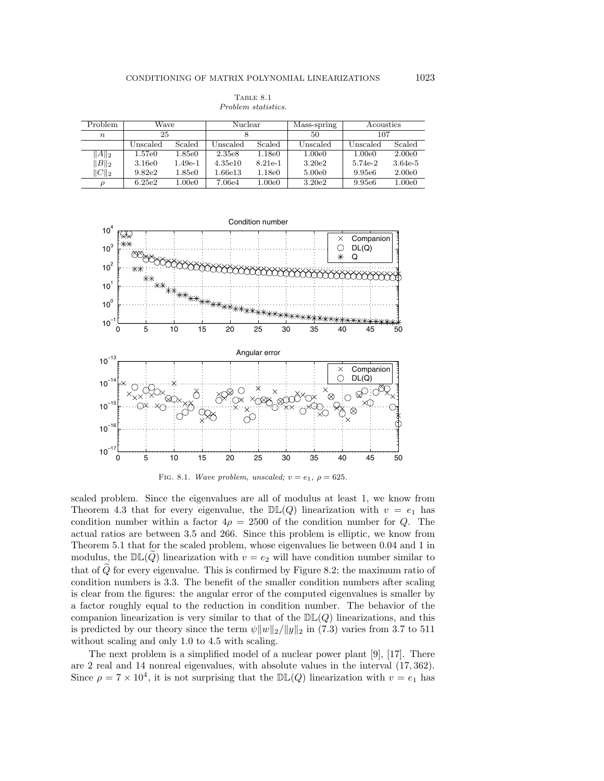| Problem          | Wave     |           | Nuclear  |           | Mass-spring | Acoustics          |           |
|------------------|----------|-----------|----------|-----------|-------------|--------------------|-----------|
| $\boldsymbol{n}$ | 25       |           |          |           | 50          | 107                |           |
|                  | Unscaled | Scaled    | Unscaled | Scaled    | Unscaled    | Unscaled           | Scaled    |
| $  A  _2$        | 1.57e0   | 1.85e0    | 2.35e8   | 1.18e0    | 1.00e0      | 1.00e0             | 2.00e0    |
| $\ B\ _2$        | 3.16e0   | $1.49e-1$ | 4.35e10  | $8.21e-1$ | 3.20e2      | 5.74e-2            | $3.64e-5$ |
| $  C  _2$        | 9.82e2   | 1.85e0    | 1.66e13  | 1.18e0    | 5.00e0      | 9.95e <sub>6</sub> | 2.00e0    |
|                  |          |           |          |           |             |                    |           |

Table 8.1 Problem statistics.

ρ 6.25e2 1.00e0 7.06e4 1.00e0 3.20e2 9.95e6 1.00e0





scaled problem. Since the eigenvalues are all of modulus at least 1, we know from Theorem 4.3 that for every eigenvalue, the  $D\mathbb{L}(Q)$  linearization with  $v = e_1$  has condition number within a factor  $4\rho = 2500$  of the condition number for Q. The actual ratios are between 3.5 and 266. Since this problem is elliptic, we know from Theorem 5.1 that for the scaled problem, whose eigenvalues lie between 0.04 and 1 in modulus, the  $D\mathbb{L}(Q)$  linearization with  $v = e_2$  will have condition number similar to that of  $\tilde{Q}$  for every eigenvalue. This is confirmed by Figure 8.2; the maximum ratio of condition numbers is 3.3. The benefit of the smaller condition numbers after scaling is clear from the figures: the angular error of the computed eigenvalues is smaller by a factor roughly equal to the reduction in condition number. The behavior of the companion linearization is very similar to that of the  $D\mathbb{L}(Q)$  linearizations, and this is predicted by our theory since the term  $\psi \|w\|_2 / \|y\|_2$  in (7.3) varies from 3.7 to 511 without scaling and only 1.0 to 4.5 with scaling.

The next problem is a simplified model of a nuclear power plant [9], [17]. There are 2 real and 14 nonreal eigenvalues, with absolute values in the interval (17, 362). Since  $\rho = 7 \times 10^4$ , it is not surprising that the  $D\mathbb{L}(Q)$  linearization with  $v = e_1$  has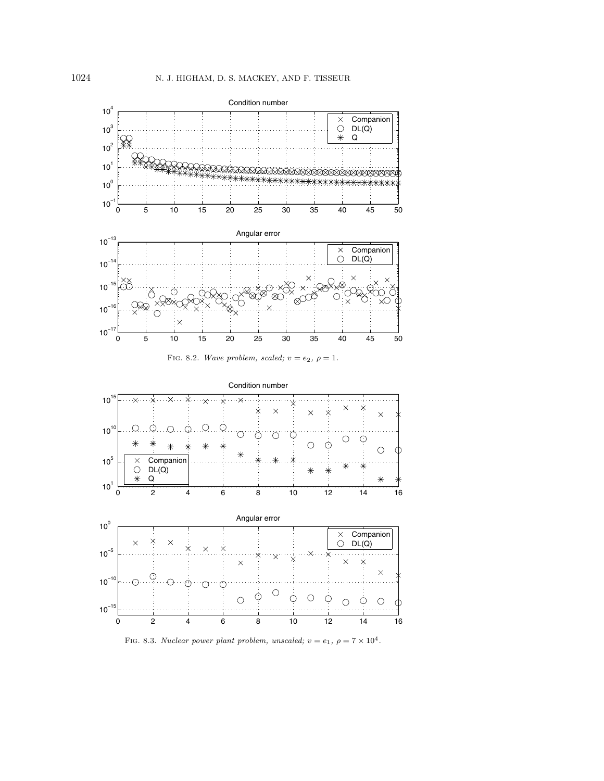







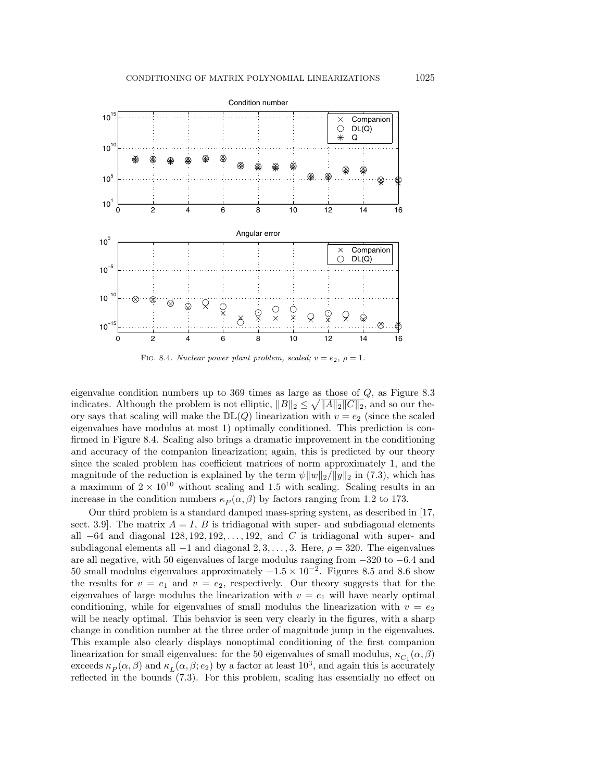

FIG. 8.4. Nuclear power plant problem, scaled;  $v = e_2$ ,  $\rho = 1$ .

eigenvalue condition numbers up to 369 times as large as those of Q, as Figure 8.3 indicates. Although the problem is not elliptic,  $||B||_2 \le \sqrt{||A||_2||C||_2}$ , and so our theory says that scaling will make the  $D\mathbb{L}(Q)$  linearization with  $v = e_2$  (since the scaled eigenvalues have modulus at most 1) optimally conditioned. This prediction is confirmed in Figure 8.4. Scaling also brings a dramatic improvement in the conditioning and accuracy of the companion linearization; again, this is predicted by our theory since the scaled problem has coefficient matrices of norm approximately 1, and the magnitude of the reduction is explained by the term  $\psi||w||_2/||y||_2$  in (7.3), which has a maximum of  $2 \times 10^{10}$  without scaling and 1.5 with scaling. Scaling results in an increase in the condition numbers  $\kappa_P(\alpha, \beta)$  by factors ranging from 1.2 to 173.

Our third problem is a standard damped mass-spring system, as described in [17, sect. 3.9. The matrix  $A = I$ , B is tridiagonal with super- and subdiagonal elements all  $-64$  and diagonal 128, 192, 192,..., 192, and C is tridiagonal with super- and subdiagonal elements all  $-1$  and diagonal 2, 3,..., 3. Here,  $\rho = 320$ . The eigenvalues are all negative, with 50 eigenvalues of large modulus ranging from −320 to −6.4 and 50 small modulus eigenvalues approximately  $-1.5 \times 10^{-2}$ . Figures 8.5 and 8.6 show the results for  $v = e_1$  and  $v = e_2$ , respectively. Our theory suggests that for the eigenvalues of large modulus the linearization with  $v = e_1$  will have nearly optimal conditioning, while for eigenvalues of small modulus the linearization with  $v = e_2$ will be nearly optimal. This behavior is seen very clearly in the figures, with a sharp change in condition number at the three order of magnitude jump in the eigenvalues. This example also clearly displays nonoptimal conditioning of the first companion linearization for small eigenvalues: for the 50 eigenvalues of small modulus,  $\kappa_{C_1}(\alpha, \beta)$ exceeds  $\kappa_P(\alpha, \beta)$  and  $\kappa_L(\alpha, \beta; e_2)$  by a factor at least  $10^3$ , and again this is accurately reflected in the bounds (7.3). For this problem, scaling has essentially no effect on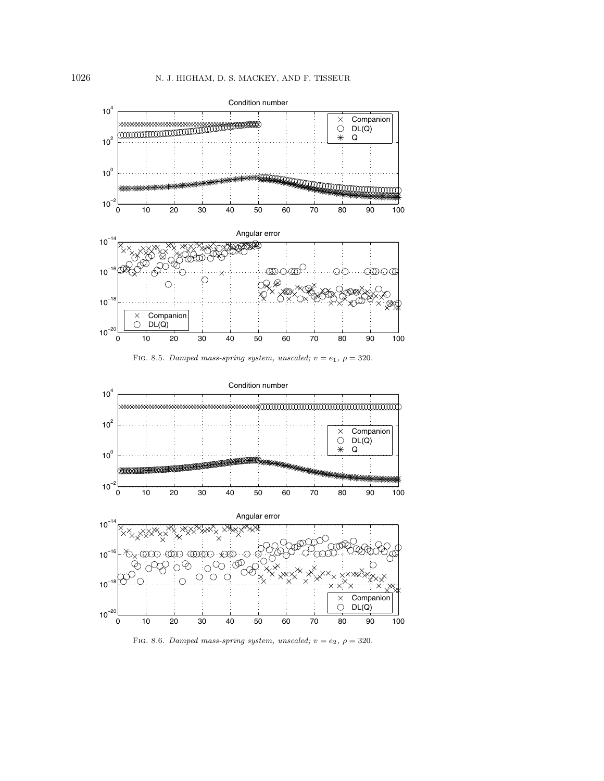

FIG. 8.5. Damped mass-spring system, unscaled;  $v = e_1$ ,  $\rho = 320$ .



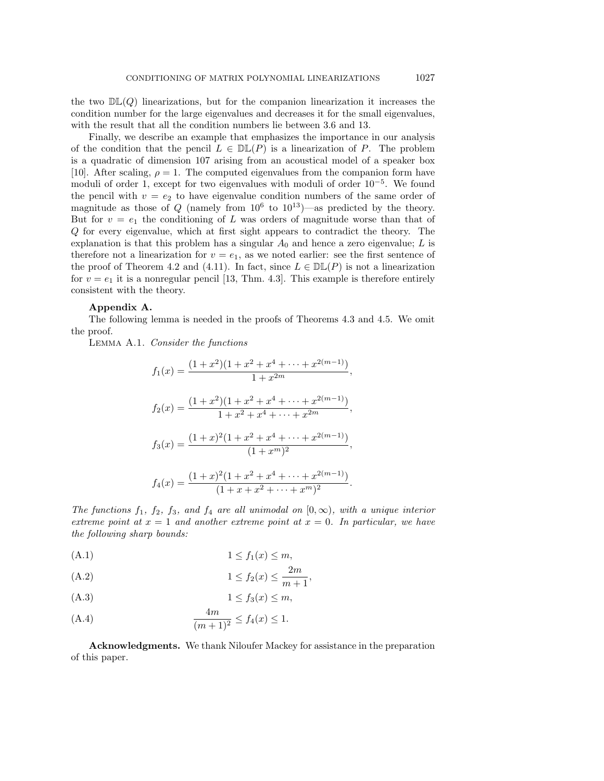the two  $D\mathbb{L}(Q)$  linearizations, but for the companion linearization it increases the condition number for the large eigenvalues and decreases it for the small eigenvalues, with the result that all the condition numbers lie between 3.6 and 13.

Finally, we describe an example that emphasizes the importance in our analysis of the condition that the pencil  $L \in \mathbb{DL}(P)$  is a linearization of P. The problem is a quadratic of dimension 107 arising from an acoustical model of a speaker box [10]. After scaling,  $\rho = 1$ . The computed eigenvalues from the companion form have moduli of order 1, except for two eigenvalues with moduli of order  $10^{-5}$ . We found the pencil with  $v = e_2$  to have eigenvalue condition numbers of the same order of magnitude as those of Q (namely from  $10^6$  to  $10^{13}$ )—as predicted by the theory. But for  $v = e_1$  the conditioning of L was orders of magnitude worse than that of Q for every eigenvalue, which at first sight appears to contradict the theory. The explanation is that this problem has a singular  $A_0$  and hence a zero eigenvalue; L is therefore not a linearization for  $v = e_1$ , as we noted earlier: see the first sentence of the proof of Theorem 4.2 and (4.11). In fact, since  $L \in \mathbb{DL}(P)$  is not a linearization for  $v = e_1$  it is a nonregular pencil [13, Thm. 4.3]. This example is therefore entirely consistent with the theory.

### **Appendix A.**

The following lemma is needed in the proofs of Theorems 4.3 and 4.5. We omit the proof.

Lemma A.1. Consider the functions

$$
f_1(x) = \frac{(1+x^2)(1+x^2+x^4+\cdots+x^{2(m-1)})}{1+x^{2m}},
$$
  
\n
$$
f_2(x) = \frac{(1+x^2)(1+x^2+x^4+\cdots+x^{2(m-1)})}{1+x^2+x^4+\cdots+x^{2m}},
$$
  
\n
$$
f_3(x) = \frac{(1+x)^2(1+x^2+x^4+\cdots+x^{2(m-1)})}{(1+x^m)^2},
$$
  
\n
$$
f_4(x) = \frac{(1+x)^2(1+x^2+x^4+\cdots+x^{2(m-1)})}{(1+x+x^2+\cdots+x^m)^2}.
$$

The functions  $f_1$ ,  $f_2$ ,  $f_3$ , and  $f_4$  are all unimodal on  $[0, \infty)$ , with a unique interior extreme point at  $x = 1$  and another extreme point at  $x = 0$ . In particular, we have the following sharp bounds:

$$
(A.1) \t\t\t 1 \le f_1(x) \le m,
$$

(A.2) 
$$
1 \le f_2(x) \le \frac{2m}{m+1},
$$

$$
(A.3) \t\t\t 1 \le f_3(x) \le m,
$$

(A.4) 
$$
\frac{4m}{(m+1)^2} \le f_4(x) \le 1.
$$

**Acknowledgments.** We thank Niloufer Mackey for assistance in the preparation of this paper.